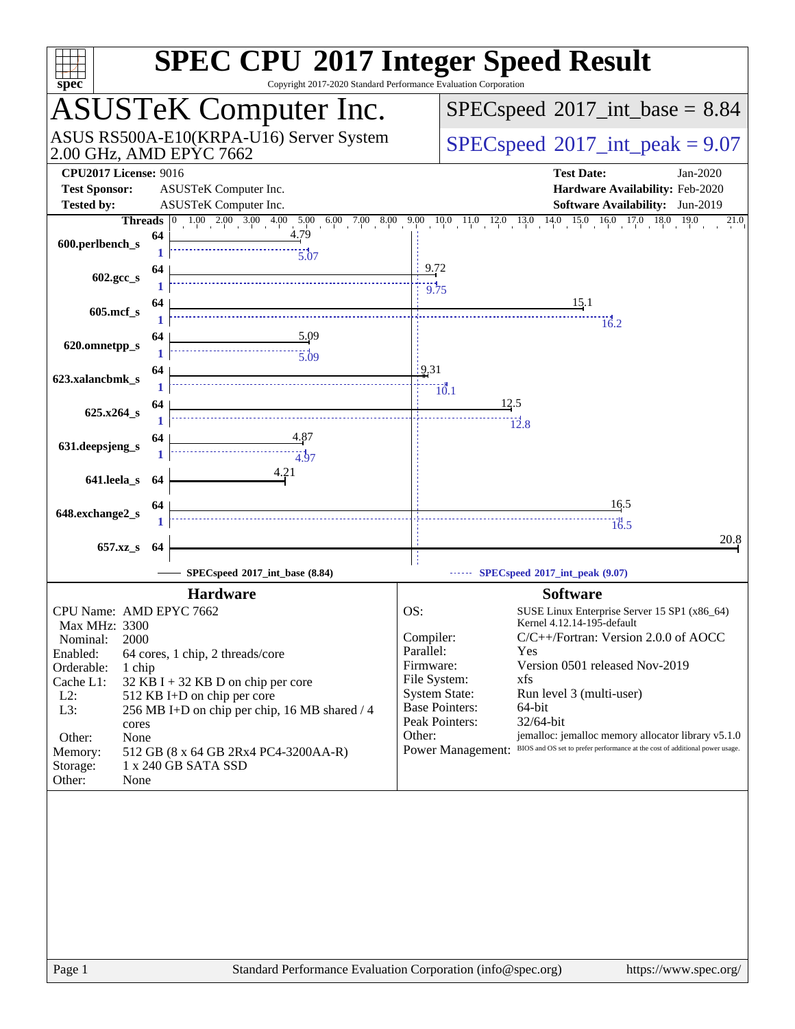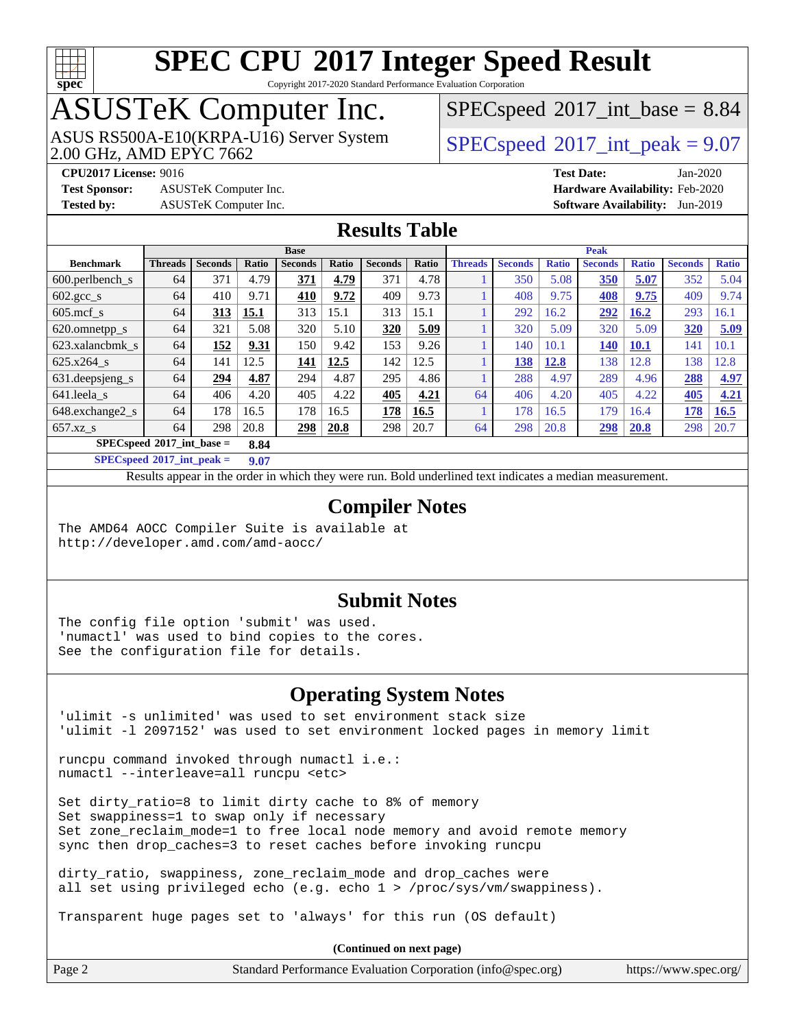

Copyright 2017-2020 Standard Performance Evaluation Corporation

# ASUSTeK Computer Inc.

2.00 GHz, AMD EPYC 7662 ASUS RS500A-E10(KRPA-U16) Server System  $\sqrt{\text{SPEC speed}^{\otimes}2017\text{ int peak}} = 9.07$ 

 $SPECspeed^{\circ}2017\_int\_base = 8.84$  $SPECspeed^{\circ}2017\_int\_base = 8.84$ 

**[Test Sponsor:](http://www.spec.org/auto/cpu2017/Docs/result-fields.html#TestSponsor)** ASUSTeK Computer Inc. **[Hardware Availability:](http://www.spec.org/auto/cpu2017/Docs/result-fields.html#HardwareAvailability)** Feb-2020 **[Tested by:](http://www.spec.org/auto/cpu2017/Docs/result-fields.html#Testedby)** ASUSTeK Computer Inc. **[Software Availability:](http://www.spec.org/auto/cpu2017/Docs/result-fields.html#SoftwareAvailability)** Jun-2019

**[CPU2017 License:](http://www.spec.org/auto/cpu2017/Docs/result-fields.html#CPU2017License)** 9016 **[Test Date:](http://www.spec.org/auto/cpu2017/Docs/result-fields.html#TestDate)** Jan-2020

#### **[Results Table](http://www.spec.org/auto/cpu2017/Docs/result-fields.html#ResultsTable)**

|                                     | <b>Base</b>    |                |       |                |       | <b>Peak</b>    |       |                |                |              |                |              |                |              |
|-------------------------------------|----------------|----------------|-------|----------------|-------|----------------|-------|----------------|----------------|--------------|----------------|--------------|----------------|--------------|
| <b>Benchmark</b>                    | <b>Threads</b> | <b>Seconds</b> | Ratio | <b>Seconds</b> | Ratio | <b>Seconds</b> | Ratio | <b>Threads</b> | <b>Seconds</b> | <b>Ratio</b> | <b>Seconds</b> | <b>Ratio</b> | <b>Seconds</b> | <b>Ratio</b> |
| $600.$ perlbench $\mathsf{S}$       | 64             | 371            | 4.79  | 371            | 4.79  | 371            | 4.78  |                | 350            | 5.08         | 350            | 5.07         | 352            | 5.04         |
| $602.\text{gcc}\_\text{s}$          | 64             | 410            | 9.71  | 410            | 9.72  | 409            | 9.73  |                | 408            | 9.75         | 408            | 9.75         | 409            | 9.74         |
| $605$ .mcf s                        | 64             | 313            | 15.1  | 313            | 15.1  | 313            | 15.1  |                | 292            | 16.2         | 292            | 16.2         | 293            | 16.1         |
| 620.omnetpp_s                       | 64             | 321            | 5.08  | 320            | 5.10  | 320            | 5.09  |                | 320            | 5.09         | 320            | 5.09         | 320            | 5.09         |
| 623.xalancbmk s                     | 64             | 152            | 9.31  | 150            | 9.42  | 153            | 9.26  |                | 140            | 10.1         | 140            | 10.1         | 141            | 10.1         |
| 625.x264 s                          | 64             | 141            | 12.5  | 141            | 12.5  | 142            | 12.5  |                | 138            | 12.8         | 138            | 2.8          | 138            | 12.8         |
| 631.deepsjeng_s                     | 64             | 294            | 4.87  | 294            | 4.87  | 295            | 4.86  |                | 288            | 4.97         | 289            | 4.96         | 288            | 4.97         |
| 641.leela s                         | 64             | 406            | 4.20  | 405            | 4.22  | 405            | 4.21  | 64             | 406            | 4.20         | 405            | 4.22         | 405            | 4.21         |
| 648.exchange2_s                     | 64             | 178            | 16.5  | 178            | 16.5  | 178            | 16.5  |                | 178            | 16.5         | 179            | 16.4         | 178            | 16.5         |
| $657.xz$ <sub>S</sub>               | 64             | 298            | 20.8  | 298            | 20.8  | 298            | 20.7  | 64             | 298            | 20.8         | 298            | 20.8         | 298            | 20.7         |
| $SPECspeed*2017$ int base =<br>8.84 |                |                |       |                |       |                |       |                |                |              |                |              |                |              |

**[SPECspeed](http://www.spec.org/auto/cpu2017/Docs/result-fields.html#SPECspeed2017intpeak)[2017\\_int\\_peak =](http://www.spec.org/auto/cpu2017/Docs/result-fields.html#SPECspeed2017intpeak) 9.07**

Results appear in the [order in which they were run.](http://www.spec.org/auto/cpu2017/Docs/result-fields.html#RunOrder) Bold underlined text [indicates a median measurement](http://www.spec.org/auto/cpu2017/Docs/result-fields.html#Median).

#### **[Compiler Notes](http://www.spec.org/auto/cpu2017/Docs/result-fields.html#CompilerNotes)**

The AMD64 AOCC Compiler Suite is available at <http://developer.amd.com/amd-aocc/>

#### **[Submit Notes](http://www.spec.org/auto/cpu2017/Docs/result-fields.html#SubmitNotes)**

The config file option 'submit' was used. 'numactl' was used to bind copies to the cores. See the configuration file for details.

#### **[Operating System Notes](http://www.spec.org/auto/cpu2017/Docs/result-fields.html#OperatingSystemNotes)**

'ulimit -s unlimited' was used to set environment stack size 'ulimit -l 2097152' was used to set environment locked pages in memory limit

runcpu command invoked through numactl i.e.: numactl --interleave=all runcpu <etc>

Set dirty\_ratio=8 to limit dirty cache to 8% of memory Set swappiness=1 to swap only if necessary Set zone\_reclaim\_mode=1 to free local node memory and avoid remote memory sync then drop\_caches=3 to reset caches before invoking runcpu

dirty ratio, swappiness, zone reclaim mode and drop caches were all set using privileged echo (e.g. echo 1 > /proc/sys/vm/swappiness).

Transparent huge pages set to 'always' for this run (OS default)

| Page 2 | Standard Performance Evaluation Corporation (info@spec.org) | https://www.spec.org/ |
|--------|-------------------------------------------------------------|-----------------------|
|        |                                                             |                       |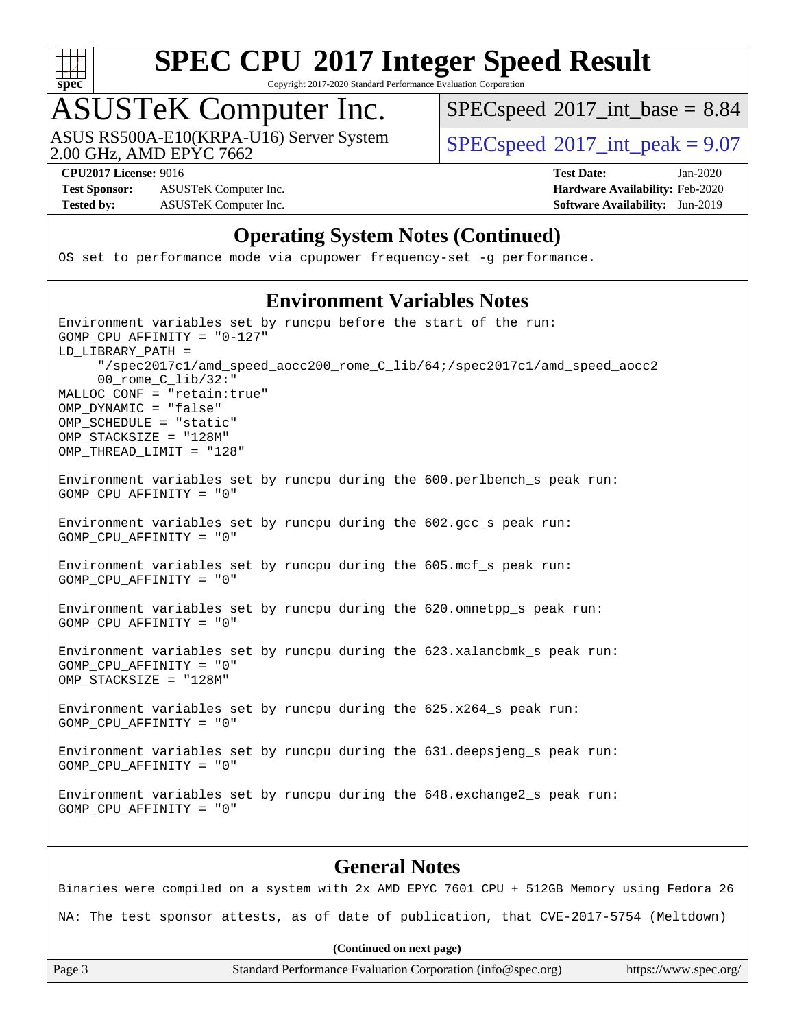

Copyright 2017-2020 Standard Performance Evaluation Corporation

## ASUSTeK Computer Inc.

2.00 GHz, AMD EPYC 7662 ASUS RS500A-E10(KRPA-U16) Server System  $\left| \text{SPEC speed} \right|^{200}$  int\_peak = 9.07

 $SPECspeed^{\circ}2017\_int\_base = 8.84$  $SPECspeed^{\circ}2017\_int\_base = 8.84$ 

**[Test Sponsor:](http://www.spec.org/auto/cpu2017/Docs/result-fields.html#TestSponsor)** ASUSTeK Computer Inc. **[Hardware Availability:](http://www.spec.org/auto/cpu2017/Docs/result-fields.html#HardwareAvailability)** Feb-2020 **[Tested by:](http://www.spec.org/auto/cpu2017/Docs/result-fields.html#Testedby)** ASUSTeK Computer Inc. **[Software Availability:](http://www.spec.org/auto/cpu2017/Docs/result-fields.html#SoftwareAvailability)** Jun-2019

**[CPU2017 License:](http://www.spec.org/auto/cpu2017/Docs/result-fields.html#CPU2017License)** 9016 **[Test Date:](http://www.spec.org/auto/cpu2017/Docs/result-fields.html#TestDate)** Jan-2020

#### **[Operating System Notes \(Continued\)](http://www.spec.org/auto/cpu2017/Docs/result-fields.html#OperatingSystemNotes)**

OS set to performance mode via cpupower frequency-set -g performance.

#### **[Environment Variables Notes](http://www.spec.org/auto/cpu2017/Docs/result-fields.html#EnvironmentVariablesNotes)**

Environment variables set by runcpu before the start of the run: GOMP\_CPU\_AFFINITY = "0-127" LD\_LIBRARY\_PATH = "/spec2017c1/amd\_speed\_aocc200\_rome\_C\_lib/64;/spec2017c1/amd\_speed\_aocc2 00\_rome\_C\_lib/32:" MALLOC\_CONF = "retain:true" OMP\_DYNAMIC = "false" OMP\_SCHEDULE = "static" OMP STACKSIZE = "128M" OMP\_THREAD\_LIMIT = "128" Environment variables set by runcpu during the 600.perlbench\_s peak run: GOMP\_CPU\_AFFINITY = "0" Environment variables set by runcpu during the 602.gcc\_s peak run: GOMP\_CPU\_AFFINITY = "0" Environment variables set by runcpu during the 605.mcf\_s peak run: GOMP\_CPU\_AFFINITY = "0" Environment variables set by runcpu during the 620.omnetpp s peak run: GOMP\_CPU\_AFFINITY = "0" Environment variables set by runcpu during the 623.xalancbmk\_s peak run: GOMP\_CPU\_AFFINITY = "0" OMP\_STACKSIZE = "128M" Environment variables set by runcpu during the 625.x264\_s peak run: GOMP\_CPU\_AFFINITY = "0"

Environment variables set by runcpu during the 631.deepsjeng\_s peak run: GOMP\_CPU\_AFFINITY = "0"

Environment variables set by runcpu during the 648.exchange2\_s peak run: GOMP\_CPU\_AFFINITY = "0"

#### **[General Notes](http://www.spec.org/auto/cpu2017/Docs/result-fields.html#GeneralNotes)**

Binaries were compiled on a system with 2x AMD EPYC 7601 CPU + 512GB Memory using Fedora 26 NA: The test sponsor attests, as of date of publication, that CVE-2017-5754 (Meltdown)

**(Continued on next page)**

Page 3 Standard Performance Evaluation Corporation [\(info@spec.org\)](mailto:info@spec.org) <https://www.spec.org/>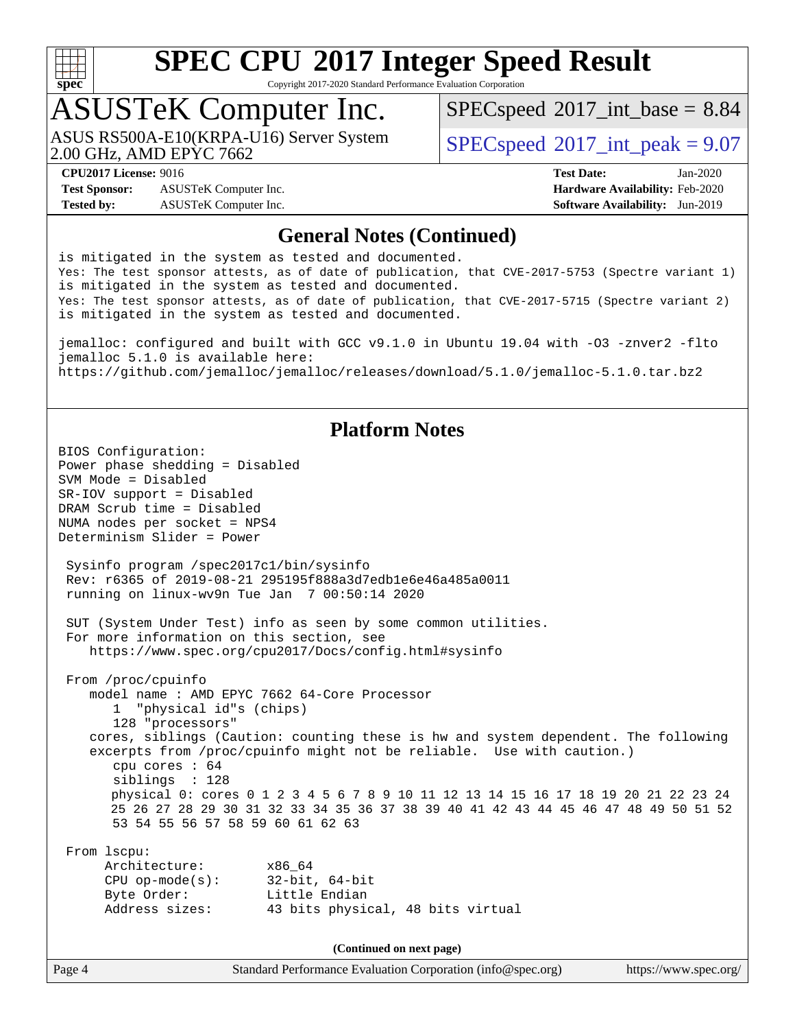

Copyright 2017-2020 Standard Performance Evaluation Corporation

## ASUSTeK Computer Inc.

2.00 GHz, AMD EPYC 7662 ASUS RS500A-E10(KRPA-U16) Server System  $\sqrt{\text{SPEC speed}^{\otimes}2017\text{ int peak}} = 9.07$ 

 $SPECspeed^{\circ}2017\_int\_base = 8.84$  $SPECspeed^{\circ}2017\_int\_base = 8.84$ 

**[Test Sponsor:](http://www.spec.org/auto/cpu2017/Docs/result-fields.html#TestSponsor)** ASUSTeK Computer Inc. **[Hardware Availability:](http://www.spec.org/auto/cpu2017/Docs/result-fields.html#HardwareAvailability)** Feb-2020 **[Tested by:](http://www.spec.org/auto/cpu2017/Docs/result-fields.html#Testedby)** ASUSTeK Computer Inc. **[Software Availability:](http://www.spec.org/auto/cpu2017/Docs/result-fields.html#SoftwareAvailability)** Jun-2019

**[CPU2017 License:](http://www.spec.org/auto/cpu2017/Docs/result-fields.html#CPU2017License)** 9016 **[Test Date:](http://www.spec.org/auto/cpu2017/Docs/result-fields.html#TestDate)** Jan-2020

#### **[General Notes \(Continued\)](http://www.spec.org/auto/cpu2017/Docs/result-fields.html#GeneralNotes)**

is mitigated in the system as tested and documented. Yes: The test sponsor attests, as of date of publication, that CVE-2017-5753 (Spectre variant 1) is mitigated in the system as tested and documented. Yes: The test sponsor attests, as of date of publication, that CVE-2017-5715 (Spectre variant 2) is mitigated in the system as tested and documented.

jemalloc: configured and built with GCC v9.1.0 in Ubuntu 19.04 with -O3 -znver2 -flto jemalloc 5.1.0 is available here: <https://github.com/jemalloc/jemalloc/releases/download/5.1.0/jemalloc-5.1.0.tar.bz2>

#### **[Platform Notes](http://www.spec.org/auto/cpu2017/Docs/result-fields.html#PlatformNotes)**

Page 4 Standard Performance Evaluation Corporation [\(info@spec.org\)](mailto:info@spec.org) <https://www.spec.org/> BIOS Configuration: Power phase shedding = Disabled SVM Mode = Disabled SR-IOV support = Disabled DRAM Scrub time = Disabled NUMA nodes per socket = NPS4 Determinism Slider = Power Sysinfo program /spec2017c1/bin/sysinfo Rev: r6365 of 2019-08-21 295195f888a3d7edb1e6e46a485a0011 running on linux-wv9n Tue Jan 7 00:50:14 2020 SUT (System Under Test) info as seen by some common utilities. For more information on this section, see <https://www.spec.org/cpu2017/Docs/config.html#sysinfo> From /proc/cpuinfo model name : AMD EPYC 7662 64-Core Processor 1 "physical id"s (chips) 128 "processors" cores, siblings (Caution: counting these is hw and system dependent. The following excerpts from /proc/cpuinfo might not be reliable. Use with caution.) cpu cores : 64 siblings : 128 physical 0: cores 0 1 2 3 4 5 6 7 8 9 10 11 12 13 14 15 16 17 18 19 20 21 22 23 24 25 26 27 28 29 30 31 32 33 34 35 36 37 38 39 40 41 42 43 44 45 46 47 48 49 50 51 52 53 54 55 56 57 58 59 60 61 62 63 From lscpu: Architecture: x86\_64 CPU op-mode(s): 32-bit, 64-bit Byte Order: Little Endian Address sizes: 43 bits physical, 48 bits virtual **(Continued on next page)**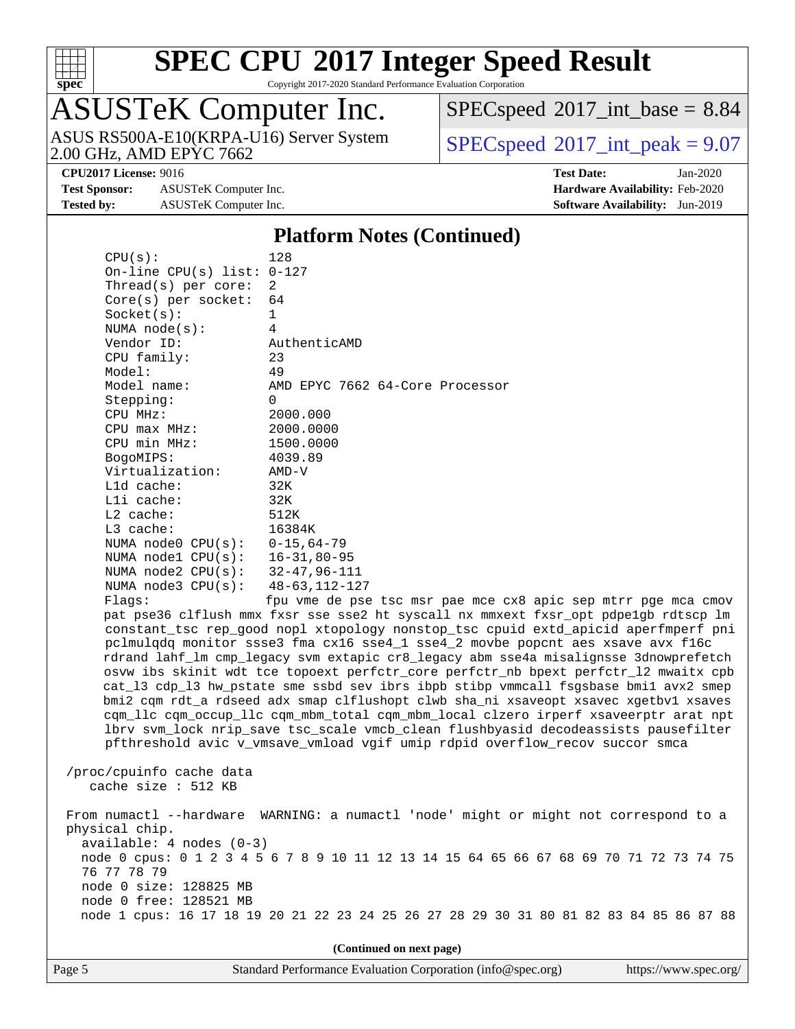

Copyright 2017-2020 Standard Performance Evaluation Corporation

# ASUSTeK Computer Inc.

2.00 GHz, AMD EPYC 7662 ASUS RS500A-E10(KRPA-U16) Server System  $\sqrt{\text{SPEC speed}^{\otimes}2017\text{ int peak}} = 9.07$ 

 $SPECspeed^{\circ}2017\_int\_base = 8.84$  $SPECspeed^{\circ}2017\_int\_base = 8.84$ 

**[Test Sponsor:](http://www.spec.org/auto/cpu2017/Docs/result-fields.html#TestSponsor)** ASUSTeK Computer Inc. **[Hardware Availability:](http://www.spec.org/auto/cpu2017/Docs/result-fields.html#HardwareAvailability)** Feb-2020 **[Tested by:](http://www.spec.org/auto/cpu2017/Docs/result-fields.html#Testedby)** ASUSTeK Computer Inc. **[Software Availability:](http://www.spec.org/auto/cpu2017/Docs/result-fields.html#SoftwareAvailability)** Jun-2019

**[CPU2017 License:](http://www.spec.org/auto/cpu2017/Docs/result-fields.html#CPU2017License)** 9016 **[Test Date:](http://www.spec.org/auto/cpu2017/Docs/result-fields.html#TestDate)** Jan-2020

#### **[Platform Notes \(Continued\)](http://www.spec.org/auto/cpu2017/Docs/result-fields.html#PlatformNotes)**

| CPU(s):                             | 128                              |  |  |  |  |
|-------------------------------------|----------------------------------|--|--|--|--|
| On-line CPU(s) list: $0-127$        |                                  |  |  |  |  |
| Thread(s) per core: $2$             |                                  |  |  |  |  |
| Core(s) per socket: $64$            |                                  |  |  |  |  |
| Socket(s):                          | 1                                |  |  |  |  |
| NUMA node(s):                       | 4                                |  |  |  |  |
| Vendor ID:                          | AuthenticAMD                     |  |  |  |  |
| CPU family:                         | 23                               |  |  |  |  |
| Model:                              | 49                               |  |  |  |  |
| Model name:                         | AMD EPYC 7662 64-Core Processor  |  |  |  |  |
| Stepping:                           | $\Omega$                         |  |  |  |  |
| CPU MHz:                            | 2000.000                         |  |  |  |  |
| $CPU$ $max$ $MHz$ :                 | 2000.0000                        |  |  |  |  |
| CPU min MHz:                        | 1500.0000                        |  |  |  |  |
| BogoMIPS:                           | 4039.89                          |  |  |  |  |
| Virtualization:                     | AMD-V                            |  |  |  |  |
| L1d cache:                          | 32K                              |  |  |  |  |
| Lli cache:                          | 32K                              |  |  |  |  |
| $L2$ cache:                         | 512K                             |  |  |  |  |
| $L3$ cache:                         | 16384K                           |  |  |  |  |
| NUMA node0 $CPU(s): 0-15, 64-79$    |                                  |  |  |  |  |
| NUMA nodel $CPU(s): 16-31,80-95$    |                                  |  |  |  |  |
| NUMA $node2$ $CPU(s):$ 32-47,96-111 |                                  |  |  |  |  |
| NUMA node3 $CPU(s):$ 48-63, 112-127 |                                  |  |  |  |  |
| Flags:                              | fou yme de pse tsc msr pae mce c |  |  |  |  |

pu vme de pse tsc msr pae mce cx8 apic sep mtrr pge mca cmov pat pse36 clflush mmx fxsr sse sse2 ht syscall nx mmxext fxsr\_opt pdpe1gb rdtscp lm constant\_tsc rep\_good nopl xtopology nonstop\_tsc cpuid extd\_apicid aperfmperf pni pclmulqdq monitor ssse3 fma cx16 sse4\_1 sse4\_2 movbe popcnt aes xsave avx f16c rdrand lahf\_lm cmp\_legacy svm extapic cr8\_legacy abm sse4a misalignsse 3dnowprefetch osvw ibs skinit wdt tce topoext perfctr\_core perfctr\_nb bpext perfctr\_l2 mwaitx cpb cat\_l3 cdp\_l3 hw\_pstate sme ssbd sev ibrs ibpb stibp vmmcall fsgsbase bmi1 avx2 smep bmi2 cqm rdt\_a rdseed adx smap clflushopt clwb sha\_ni xsaveopt xsavec xgetbv1 xsaves cqm\_llc cqm\_occup\_llc cqm\_mbm\_total cqm\_mbm\_local clzero irperf xsaveerptr arat npt lbrv svm\_lock nrip\_save tsc\_scale vmcb\_clean flushbyasid decodeassists pausefilter pfthreshold avic v\_vmsave\_vmload vgif umip rdpid overflow\_recov succor smca

 /proc/cpuinfo cache data cache size : 512 KB

 From numactl --hardware WARNING: a numactl 'node' might or might not correspond to a physical chip. available: 4 nodes (0-3) node 0 cpus: 0 1 2 3 4 5 6 7 8 9 10 11 12 13 14 15 64 65 66 67 68 69 70 71 72 73 74 75 76 77 78 79 node 0 size: 128825 MB node 0 free: 128521 MB node 1 cpus: 16 17 18 19 20 21 22 23 24 25 26 27 28 29 30 31 80 81 82 83 84 85 86 87 88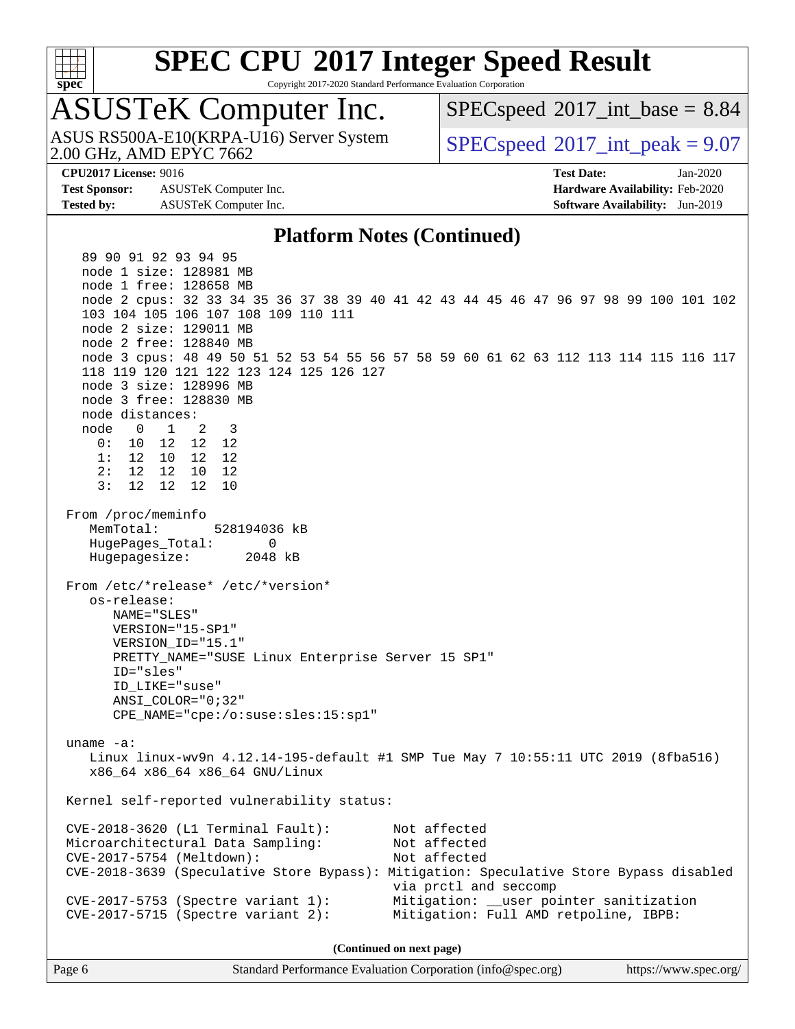

Copyright 2017-2020 Standard Performance Evaluation Corporation

## ASUSTeK Computer Inc.

2.00 GHz, AMD EPYC 7662 ASUS RS500A-E10(KRPA-U16) Server System  $\sqrt{\text{SPEC speed}^{\otimes}2017\text{ int peak}} = 9.07$ 

 $SPECspeed^{\circ}2017\_int\_base = 8.84$  $SPECspeed^{\circ}2017\_int\_base = 8.84$ 

**[Test Sponsor:](http://www.spec.org/auto/cpu2017/Docs/result-fields.html#TestSponsor)** ASUSTeK Computer Inc. **[Hardware Availability:](http://www.spec.org/auto/cpu2017/Docs/result-fields.html#HardwareAvailability)** Feb-2020 **[Tested by:](http://www.spec.org/auto/cpu2017/Docs/result-fields.html#Testedby)** ASUSTeK Computer Inc. **[Software Availability:](http://www.spec.org/auto/cpu2017/Docs/result-fields.html#SoftwareAvailability)** Jun-2019

**[CPU2017 License:](http://www.spec.org/auto/cpu2017/Docs/result-fields.html#CPU2017License)** 9016 **[Test Date:](http://www.spec.org/auto/cpu2017/Docs/result-fields.html#TestDate)** Jan-2020

#### **[Platform Notes \(Continued\)](http://www.spec.org/auto/cpu2017/Docs/result-fields.html#PlatformNotes)**

 89 90 91 92 93 94 95 node 1 size: 128981 MB node 1 free: 128658 MB node 2 cpus: 32 33 34 35 36 37 38 39 40 41 42 43 44 45 46 47 96 97 98 99 100 101 102 103 104 105 106 107 108 109 110 111 node 2 size: 129011 MB node 2 free: 128840 MB node 3 cpus: 48 49 50 51 52 53 54 55 56 57 58 59 60 61 62 63 112 113 114 115 116 117 118 119 120 121 122 123 124 125 126 127 node 3 size: 128996 MB node 3 free: 128830 MB node distances: node 0 1 2 3 0: 10 12 12 12 1: 12 10 12 12 2: 12 12 10 12 3: 12 12 12 10 From /proc/meminfo MemTotal: 528194036 kB HugePages\_Total: 0 Hugepagesize: 2048 kB From /etc/\*release\* /etc/\*version\* os-release: NAME="SLES" VERSION="15-SP1" VERSION\_ID="15.1" PRETTY\_NAME="SUSE Linux Enterprise Server 15 SP1" ID="sles" ID\_LIKE="suse" ANSI\_COLOR="0;32" CPE\_NAME="cpe:/o:suse:sles:15:sp1" uname -a: Linux linux-wv9n 4.12.14-195-default #1 SMP Tue May 7 10:55:11 UTC 2019 (8fba516) x86\_64 x86\_64 x86\_64 GNU/Linux Kernel self-reported vulnerability status: CVE-2018-3620 (L1 Terminal Fault): Not affected Microarchitectural Data Sampling: Not affected CVE-2017-5754 (Meltdown): Not affected CVE-2018-3639 (Speculative Store Bypass): Mitigation: Speculative Store Bypass disabled via prctl and seccomp CVE-2017-5753 (Spectre variant 1): Mitigation: \_\_user pointer sanitization CVE-2017-5715 (Spectre variant 2): Mitigation: Full AMD retpoline, IBPB: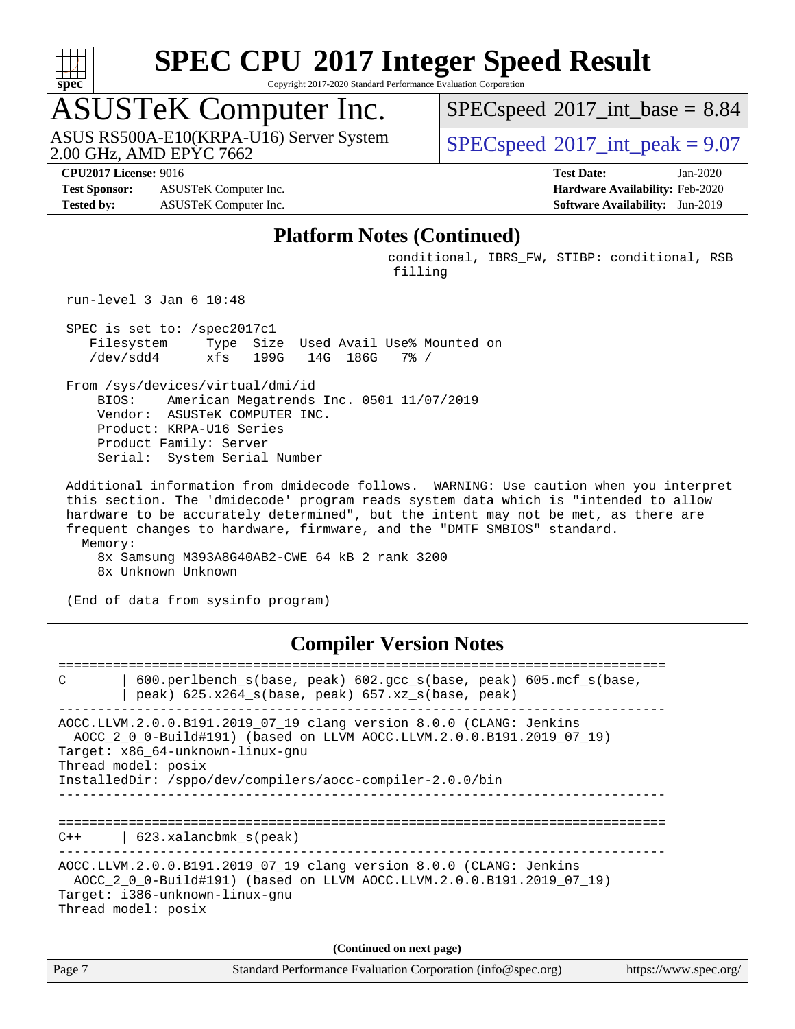

Copyright 2017-2020 Standard Performance Evaluation Corporation

## ASUSTeK Computer Inc.

2.00 GHz, AMD EPYC 7662 ASUS RS500A-E10(KRPA-U16) Server System  $\sqrt{\text{SPEC speed}^{\otimes}2017\text{ int peak}} = 9.07$ 

 $SPECspeed^{\circ}2017\_int\_base = 8.84$  $SPECspeed^{\circ}2017\_int\_base = 8.84$ 

**[Test Sponsor:](http://www.spec.org/auto/cpu2017/Docs/result-fields.html#TestSponsor)** ASUSTeK Computer Inc. **[Hardware Availability:](http://www.spec.org/auto/cpu2017/Docs/result-fields.html#HardwareAvailability)** Feb-2020 **[Tested by:](http://www.spec.org/auto/cpu2017/Docs/result-fields.html#Testedby)** ASUSTeK Computer Inc. **[Software Availability:](http://www.spec.org/auto/cpu2017/Docs/result-fields.html#SoftwareAvailability)** Jun-2019

**[CPU2017 License:](http://www.spec.org/auto/cpu2017/Docs/result-fields.html#CPU2017License)** 9016 **[Test Date:](http://www.spec.org/auto/cpu2017/Docs/result-fields.html#TestDate)** Jan-2020

#### **[Platform Notes \(Continued\)](http://www.spec.org/auto/cpu2017/Docs/result-fields.html#PlatformNotes)**

 conditional, IBRS\_FW, STIBP: conditional, RSB filling

run-level 3 Jan 6 10:48

 SPEC is set to: /spec2017c1 Filesystem Type Size Used Avail Use% Mounted on /dev/sdd4 xfs 199G 14G 186G 7% /

 From /sys/devices/virtual/dmi/id BIOS: American Megatrends Inc. 0501 11/07/2019 Vendor: ASUSTeK COMPUTER INC. Product: KRPA-U16 Series Product Family: Server Serial: System Serial Number

 Additional information from dmidecode follows. WARNING: Use caution when you interpret this section. The 'dmidecode' program reads system data which is "intended to allow hardware to be accurately determined", but the intent may not be met, as there are frequent changes to hardware, firmware, and the "DMTF SMBIOS" standard. Memory: 8x Samsung M393A8G40AB2-CWE 64 kB 2 rank 3200

8x Unknown Unknown

(End of data from sysinfo program)

#### **[Compiler Version Notes](http://www.spec.org/auto/cpu2017/Docs/result-fields.html#CompilerVersionNotes)**

Page 7 Standard Performance Evaluation Corporation [\(info@spec.org\)](mailto:info@spec.org) <https://www.spec.org/> ============================================================================== C | 600.perlbench\_s(base, peak) 602.gcc\_s(base, peak) 605.mcf\_s(base, | peak) 625.x264\_s(base, peak) 657.xz\_s(base, peak) ------------------------------------------------------------------------------ AOCC.LLVM.2.0.0.B191.2019\_07\_19 clang version 8.0.0 (CLANG: Jenkins AOCC\_2\_0\_0-Build#191) (based on LLVM AOCC.LLVM.2.0.0.B191.2019\_07\_19) Target: x86\_64-unknown-linux-gnu Thread model: posix InstalledDir: /sppo/dev/compilers/aocc-compiler-2.0.0/bin ------------------------------------------------------------------------------ ============================================================================== C++ | 623.xalancbmk\_s(peak) ------------------------------------------------------------------------------ AOCC.LLVM.2.0.0.B191.2019\_07\_19 clang version 8.0.0 (CLANG: Jenkins AOCC\_2\_0\_0-Build#191) (based on LLVM AOCC.LLVM.2.0.0.B191.2019\_07\_19) Target: i386-unknown-linux-gnu Thread model: posix **(Continued on next page)**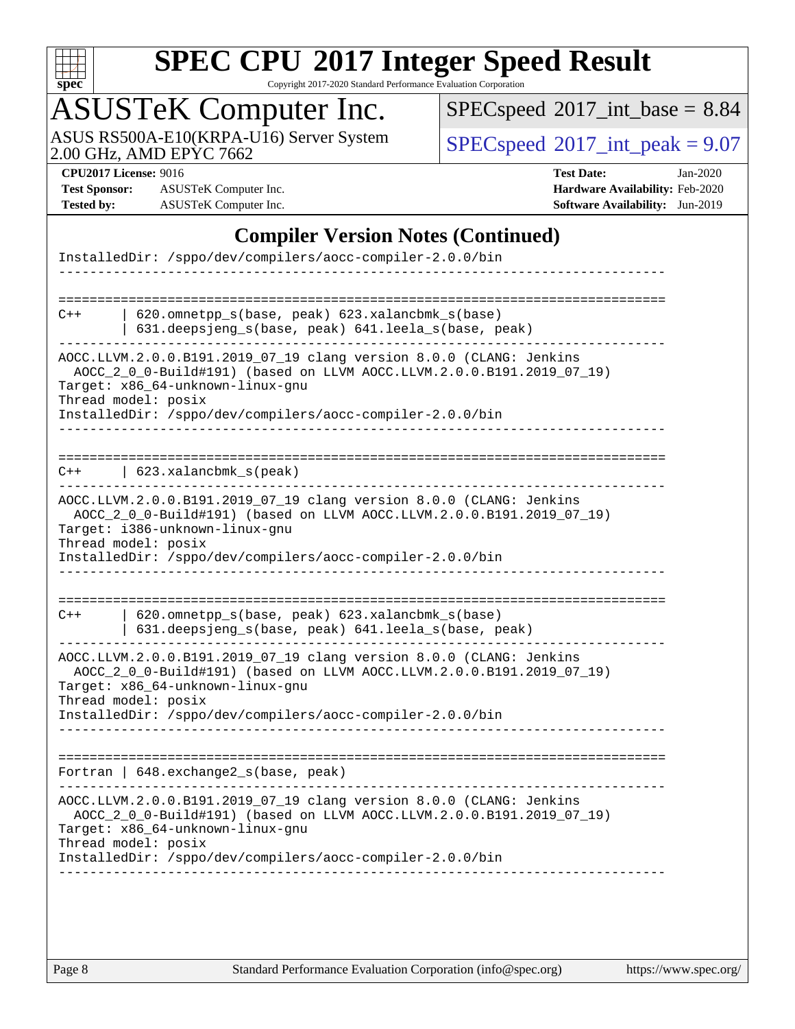

Copyright 2017-2020 Standard Performance Evaluation Corporation

## ASUSTeK Computer Inc.

ASUS RS500A-E10(KRPA-U16) Server System Specspeed®[2017\\_int\\_peak = 9](http://www.spec.org/auto/cpu2017/Docs/result-fields.html#SPECspeed2017intpeak).07

 $SPEC speed$ <sup>®</sup> $2017$ \_int\_base = 8.84

**[Test Sponsor:](http://www.spec.org/auto/cpu2017/Docs/result-fields.html#TestSponsor)** ASUSTeK Computer Inc. **[Hardware Availability:](http://www.spec.org/auto/cpu2017/Docs/result-fields.html#HardwareAvailability)** Feb-2020 **[Tested by:](http://www.spec.org/auto/cpu2017/Docs/result-fields.html#Testedby)** ASUSTeK Computer Inc. **[Software Availability:](http://www.spec.org/auto/cpu2017/Docs/result-fields.html#SoftwareAvailability)** Jun-2019

**[CPU2017 License:](http://www.spec.org/auto/cpu2017/Docs/result-fields.html#CPU2017License)** 9016 **[Test Date:](http://www.spec.org/auto/cpu2017/Docs/result-fields.html#TestDate)** Jan-2020

#### **[Compiler Version Notes \(Continued\)](http://www.spec.org/auto/cpu2017/Docs/result-fields.html#CompilerVersionNotes)**

| InstalledDir: /sppo/dev/compilers/aocc-compiler-2.0.0/bin                                                                                                                                                                                                            |
|----------------------------------------------------------------------------------------------------------------------------------------------------------------------------------------------------------------------------------------------------------------------|
|                                                                                                                                                                                                                                                                      |
| $620$ .omnetpp $s(base, peak)$ $623$ .xalancbmk $s(base)$<br>$C++$<br>631.deepsjeng_s(base, peak) 641.leela_s(base, peak)                                                                                                                                            |
| AOCC.LLVM.2.0.0.B191.2019_07_19 clang version 8.0.0 (CLANG: Jenkins<br>AOCC_2_0_0-Build#191) (based on LLVM AOCC.LLVM.2.0.0.B191.2019_07_19)<br>Target: x86_64-unknown-linux-gnu<br>Thread model: posix<br>InstalledDir: /sppo/dev/compilers/aocc-compiler-2.0.0/bin |
| 623.xalancbmk s(peak)<br>$C++$                                                                                                                                                                                                                                       |
| AOCC.LLVM.2.0.0.B191.2019_07_19 clang version 8.0.0 (CLANG: Jenkins<br>AOCC_2_0_0-Build#191) (based on LLVM AOCC.LLVM.2.0.0.B191.2019_07_19)<br>Target: i386-unknown-linux-gnu<br>Thread model: posix<br>InstalledDir: /sppo/dev/compilers/aocc-compiler-2.0.0/bin   |
| 620.omnetpp_s(base, peak) 623.xalancbmk_s(base)<br>$C++$<br>631.deepsjeng_s(base, peak) 641.leela_s(base, peak)                                                                                                                                                      |
| AOCC.LLVM.2.0.0.B191.2019_07_19 clang version 8.0.0 (CLANG: Jenkins<br>AOCC_2_0_0-Build#191) (based on LLVM AOCC.LLVM.2.0.0.B191.2019_07_19)<br>Target: x86_64-unknown-linux-gnu<br>Thread model: posix<br>InstalledDir: /sppo/dev/compilers/aocc-compiler-2.0.0/bin |
|                                                                                                                                                                                                                                                                      |
| Fortran   648.exchange2_s(base, peak)                                                                                                                                                                                                                                |
| AOCC.LLVM.2.0.0.B191.2019_07_19 clang version 8.0.0 (CLANG: Jenkins<br>AOCC_2_0_0-Build#191) (based on LLVM AOCC.LLVM.2.0.0.B191.2019_07_19)<br>Target: x86_64-unknown-linux-gnu<br>Thread model: posix<br>InstalledDir: /sppo/dev/compilers/aocc-compiler-2.0.0/bin |
|                                                                                                                                                                                                                                                                      |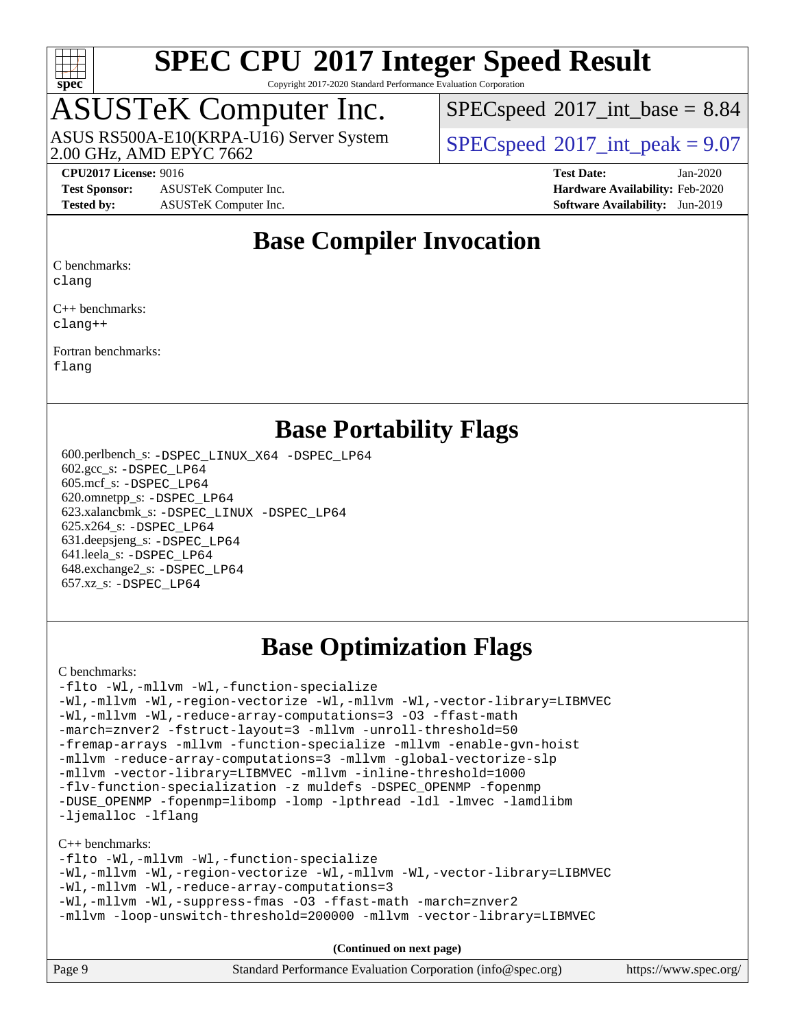

Copyright 2017-2020 Standard Performance Evaluation Corporation

## ASUSTeK Computer Inc.

2.00 GHz, AMD EPYC 7662 ASUS RS500A-E10(KRPA-U16) Server System  $\left| \text{SPEC speed} \right|^{200}$  int\_peak = 9.07

 $SPECspeed^{\circ}2017\_int\_base = 8.84$  $SPECspeed^{\circ}2017\_int\_base = 8.84$ 

**[Test Sponsor:](http://www.spec.org/auto/cpu2017/Docs/result-fields.html#TestSponsor)** ASUSTeK Computer Inc. **[Hardware Availability:](http://www.spec.org/auto/cpu2017/Docs/result-fields.html#HardwareAvailability)** Feb-2020 **[Tested by:](http://www.spec.org/auto/cpu2017/Docs/result-fields.html#Testedby)** ASUSTeK Computer Inc. **[Software Availability:](http://www.spec.org/auto/cpu2017/Docs/result-fields.html#SoftwareAvailability)** Jun-2019

**[CPU2017 License:](http://www.spec.org/auto/cpu2017/Docs/result-fields.html#CPU2017License)** 9016 **[Test Date:](http://www.spec.org/auto/cpu2017/Docs/result-fields.html#TestDate)** Jan-2020

#### **[Base Compiler Invocation](http://www.spec.org/auto/cpu2017/Docs/result-fields.html#BaseCompilerInvocation)**

[C benchmarks](http://www.spec.org/auto/cpu2017/Docs/result-fields.html#Cbenchmarks):

[clang](http://www.spec.org/cpu2017/results/res2020q2/cpu2017-20200329-21524.flags.html#user_CCbase_clang-c)

[C++ benchmarks:](http://www.spec.org/auto/cpu2017/Docs/result-fields.html#CXXbenchmarks) [clang++](http://www.spec.org/cpu2017/results/res2020q2/cpu2017-20200329-21524.flags.html#user_CXXbase_clang-cpp)

[Fortran benchmarks](http://www.spec.org/auto/cpu2017/Docs/result-fields.html#Fortranbenchmarks):

[flang](http://www.spec.org/cpu2017/results/res2020q2/cpu2017-20200329-21524.flags.html#user_FCbase_flang)

#### **[Base Portability Flags](http://www.spec.org/auto/cpu2017/Docs/result-fields.html#BasePortabilityFlags)**

 600.perlbench\_s: [-DSPEC\\_LINUX\\_X64](http://www.spec.org/cpu2017/results/res2020q2/cpu2017-20200329-21524.flags.html#b600.perlbench_s_basePORTABILITY_DSPEC_LINUX_X64) [-DSPEC\\_LP64](http://www.spec.org/cpu2017/results/res2020q2/cpu2017-20200329-21524.flags.html#b600.perlbench_s_baseEXTRA_PORTABILITY_DSPEC_LP64) 602.gcc\_s: [-DSPEC\\_LP64](http://www.spec.org/cpu2017/results/res2020q2/cpu2017-20200329-21524.flags.html#suite_baseEXTRA_PORTABILITY602_gcc_s_DSPEC_LP64) 605.mcf\_s: [-DSPEC\\_LP64](http://www.spec.org/cpu2017/results/res2020q2/cpu2017-20200329-21524.flags.html#suite_baseEXTRA_PORTABILITY605_mcf_s_DSPEC_LP64) 620.omnetpp\_s: [-DSPEC\\_LP64](http://www.spec.org/cpu2017/results/res2020q2/cpu2017-20200329-21524.flags.html#suite_baseEXTRA_PORTABILITY620_omnetpp_s_DSPEC_LP64) 623.xalancbmk\_s: [-DSPEC\\_LINUX](http://www.spec.org/cpu2017/results/res2020q2/cpu2017-20200329-21524.flags.html#b623.xalancbmk_s_basePORTABILITY_DSPEC_LINUX) [-DSPEC\\_LP64](http://www.spec.org/cpu2017/results/res2020q2/cpu2017-20200329-21524.flags.html#suite_baseEXTRA_PORTABILITY623_xalancbmk_s_DSPEC_LP64) 625.x264\_s: [-DSPEC\\_LP64](http://www.spec.org/cpu2017/results/res2020q2/cpu2017-20200329-21524.flags.html#suite_baseEXTRA_PORTABILITY625_x264_s_DSPEC_LP64) 631.deepsjeng\_s: [-DSPEC\\_LP64](http://www.spec.org/cpu2017/results/res2020q2/cpu2017-20200329-21524.flags.html#suite_baseEXTRA_PORTABILITY631_deepsjeng_s_DSPEC_LP64) 641.leela\_s: [-DSPEC\\_LP64](http://www.spec.org/cpu2017/results/res2020q2/cpu2017-20200329-21524.flags.html#suite_baseEXTRA_PORTABILITY641_leela_s_DSPEC_LP64) 648.exchange2\_s: [-DSPEC\\_LP64](http://www.spec.org/cpu2017/results/res2020q2/cpu2017-20200329-21524.flags.html#suite_baseEXTRA_PORTABILITY648_exchange2_s_DSPEC_LP64) 657.xz\_s: [-DSPEC\\_LP64](http://www.spec.org/cpu2017/results/res2020q2/cpu2017-20200329-21524.flags.html#suite_baseEXTRA_PORTABILITY657_xz_s_DSPEC_LP64)

#### **[Base Optimization Flags](http://www.spec.org/auto/cpu2017/Docs/result-fields.html#BaseOptimizationFlags)**

#### [C benchmarks](http://www.spec.org/auto/cpu2017/Docs/result-fields.html#Cbenchmarks):

[-flto](http://www.spec.org/cpu2017/results/res2020q2/cpu2017-20200329-21524.flags.html#user_CCbase_aocc-flto) [-Wl,-mllvm -Wl,-function-specialize](http://www.spec.org/cpu2017/results/res2020q2/cpu2017-20200329-21524.flags.html#user_CCbase_F-function-specialize_7e7e661e57922243ee67c9a1251cb8910e607325179a0ce7f2884e09a6f5d4a5ef0ae4f37e8a2a11c95fc48e931f06dc2b6016f14b511fcb441e048bef1b065a) [-Wl,-mllvm -Wl,-region-vectorize](http://www.spec.org/cpu2017/results/res2020q2/cpu2017-20200329-21524.flags.html#user_CCbase_F-region-vectorize_fb6c6b5aa293c88efc6c7c2b52b20755e943585b1fe8658c35afef78727fff56e1a56891413c30e36b8e2a6f9a71126986319243e80eb6110b78b288f533c52b) [-Wl,-mllvm -Wl,-vector-library=LIBMVEC](http://www.spec.org/cpu2017/results/res2020q2/cpu2017-20200329-21524.flags.html#user_CCbase_F-use-vector-library_0a14b27fae317f283640384a31f7bfcc2bd4c1d0b5cfc618a3a430800c9b20217b00f61303eff223a3251b4f06ffbc9739dc5296db9d1fbb9ad24a3939d86d66) [-Wl,-mllvm -Wl,-reduce-array-computations=3](http://www.spec.org/cpu2017/results/res2020q2/cpu2017-20200329-21524.flags.html#user_CCbase_F-reduce-array-computations_b882aefe7a5dda4e33149f6299762b9a720dace3e498e13756f4c04e5a19edf5315c1f3993de2e61ec41e8c206231f84e05da7040e1bb5d69ba27d10a12507e4) [-O3](http://www.spec.org/cpu2017/results/res2020q2/cpu2017-20200329-21524.flags.html#user_CCbase_F-O3) [-ffast-math](http://www.spec.org/cpu2017/results/res2020q2/cpu2017-20200329-21524.flags.html#user_CCbase_aocc-ffast-math) [-march=znver2](http://www.spec.org/cpu2017/results/res2020q2/cpu2017-20200329-21524.flags.html#user_CCbase_aocc-march_3e2e19cff2eeef60c5d90b059483627c9ea47eca6d66670dbd53f9185f6439e27eb5e104cf773e9e8ab18c8842ce63e461a3e948d0214bd567ef3ade411bf467) [-fstruct-layout=3](http://www.spec.org/cpu2017/results/res2020q2/cpu2017-20200329-21524.flags.html#user_CCbase_F-struct-layout) [-mllvm -unroll-threshold=50](http://www.spec.org/cpu2017/results/res2020q2/cpu2017-20200329-21524.flags.html#user_CCbase_F-unroll-threshold_458874500b2c105d6d5cb4d7a611c40e2b16e9e3d26b355fea72d644c3673b4de4b3932662f0ed3dbec75c491a13da2d2ca81180bd779dc531083ef1e1e549dc) [-fremap-arrays](http://www.spec.org/cpu2017/results/res2020q2/cpu2017-20200329-21524.flags.html#user_CCbase_F-fremap-arrays) [-mllvm -function-specialize](http://www.spec.org/cpu2017/results/res2020q2/cpu2017-20200329-21524.flags.html#user_CCbase_F-function-specialize_233b3bdba86027f1b094368157e481c5bc59f40286dc25bfadc1858dcd5745c24fd30d5f188710db7fea399bcc9f44a80b3ce3aacc70a8870250c3ae5e1f35b8) [-mllvm -enable-gvn-hoist](http://www.spec.org/cpu2017/results/res2020q2/cpu2017-20200329-21524.flags.html#user_CCbase_F-enable-gvn-hoist_e5856354646dd6ca1333a0ad99b817e4cf8932b91b82809fd8fd47ceff7b22a89eba5c98fd3e3fa5200368fd772cec3dd56abc3c8f7b655a71b9f9848dddedd5) [-mllvm -reduce-array-computations=3](http://www.spec.org/cpu2017/results/res2020q2/cpu2017-20200329-21524.flags.html#user_CCbase_F-reduce-array-computations_aceadb8604558b566e0e3a0d7a3c1533923dd1fa0889614e16288028922629a28d5695c24d3b3be4306b1e311c54317dfffe3a2e57fbcaabc737a1798de39145) [-mllvm -global-vectorize-slp](http://www.spec.org/cpu2017/results/res2020q2/cpu2017-20200329-21524.flags.html#user_CCbase_F-global-vectorize-slp_a3935e8627af4ced727033b1ffd4db27f4d541a363d28d82bf4c2925fb3a0fd4115d6e42d13a2829f9e024d6608eb67a85cb49770f2da5c5ac8dbc737afad603) [-mllvm -vector-library=LIBMVEC](http://www.spec.org/cpu2017/results/res2020q2/cpu2017-20200329-21524.flags.html#user_CCbase_F-use-vector-library_e584e20b4f7ec96aa109254b65d8e01d864f3d68580371b9d93ed7c338191d4cfce20c3c864632264effc6bbe4c7c38153d02096a342ee92501c4a53204a7871) [-mllvm -inline-threshold=1000](http://www.spec.org/cpu2017/results/res2020q2/cpu2017-20200329-21524.flags.html#user_CCbase_dragonegg-llvm-inline-threshold_b7832241b0a6397e4ecdbaf0eb7defdc10f885c2a282fa3240fdc99844d543fda39cf8a4a9dccf68cf19b5438ac3b455264f478df15da0f4988afa40d8243bab) [-flv-function-specialization](http://www.spec.org/cpu2017/results/res2020q2/cpu2017-20200329-21524.flags.html#user_CCbase_F-flv-function-specialization) [-z muldefs](http://www.spec.org/cpu2017/results/res2020q2/cpu2017-20200329-21524.flags.html#user_CCbase_aocc-muldefs) [-DSPEC\\_OPENMP](http://www.spec.org/cpu2017/results/res2020q2/cpu2017-20200329-21524.flags.html#suite_CCbase_DSPEC_OPENMP) [-fopenmp](http://www.spec.org/cpu2017/results/res2020q2/cpu2017-20200329-21524.flags.html#user_CCbase_aocc-fopenmp) [-DUSE\\_OPENMP](http://www.spec.org/cpu2017/results/res2020q2/cpu2017-20200329-21524.flags.html#user_CCbase_F-DUSE_OPENMP) [-fopenmp=libomp](http://www.spec.org/cpu2017/results/res2020q2/cpu2017-20200329-21524.flags.html#user_CCbase_aocc-fopenmp_3eb6ab80166bcc84161ff8c20c8d5bc344f88119f45620444596454f7d72e99b7a0ceefc2d1b4d190bd07306bbfdfc20f11f5a2dc69c9b03c72239f8406741c3) [-lomp](http://www.spec.org/cpu2017/results/res2020q2/cpu2017-20200329-21524.flags.html#user_CCbase_F-lomp) [-lpthread](http://www.spec.org/cpu2017/results/res2020q2/cpu2017-20200329-21524.flags.html#user_CCbase_F-lpthread) [-ldl](http://www.spec.org/cpu2017/results/res2020q2/cpu2017-20200329-21524.flags.html#user_CCbase_F-ldl) [-lmvec](http://www.spec.org/cpu2017/results/res2020q2/cpu2017-20200329-21524.flags.html#user_CCbase_F-lmvec) [-lamdlibm](http://www.spec.org/cpu2017/results/res2020q2/cpu2017-20200329-21524.flags.html#user_CCbase_F-lamdlibm) [-ljemalloc](http://www.spec.org/cpu2017/results/res2020q2/cpu2017-20200329-21524.flags.html#user_CCbase_jemalloc-lib) [-lflang](http://www.spec.org/cpu2017/results/res2020q2/cpu2017-20200329-21524.flags.html#user_CCbase_F-lflang)

#### [C++ benchmarks:](http://www.spec.org/auto/cpu2017/Docs/result-fields.html#CXXbenchmarks)

[-flto](http://www.spec.org/cpu2017/results/res2020q2/cpu2017-20200329-21524.flags.html#user_CXXbase_aocc-flto) [-Wl,-mllvm -Wl,-function-specialize](http://www.spec.org/cpu2017/results/res2020q2/cpu2017-20200329-21524.flags.html#user_CXXbase_F-function-specialize_7e7e661e57922243ee67c9a1251cb8910e607325179a0ce7f2884e09a6f5d4a5ef0ae4f37e8a2a11c95fc48e931f06dc2b6016f14b511fcb441e048bef1b065a) [-Wl,-mllvm -Wl,-region-vectorize](http://www.spec.org/cpu2017/results/res2020q2/cpu2017-20200329-21524.flags.html#user_CXXbase_F-region-vectorize_fb6c6b5aa293c88efc6c7c2b52b20755e943585b1fe8658c35afef78727fff56e1a56891413c30e36b8e2a6f9a71126986319243e80eb6110b78b288f533c52b) [-Wl,-mllvm -Wl,-vector-library=LIBMVEC](http://www.spec.org/cpu2017/results/res2020q2/cpu2017-20200329-21524.flags.html#user_CXXbase_F-use-vector-library_0a14b27fae317f283640384a31f7bfcc2bd4c1d0b5cfc618a3a430800c9b20217b00f61303eff223a3251b4f06ffbc9739dc5296db9d1fbb9ad24a3939d86d66) [-Wl,-mllvm -Wl,-reduce-array-computations=3](http://www.spec.org/cpu2017/results/res2020q2/cpu2017-20200329-21524.flags.html#user_CXXbase_F-reduce-array-computations_b882aefe7a5dda4e33149f6299762b9a720dace3e498e13756f4c04e5a19edf5315c1f3993de2e61ec41e8c206231f84e05da7040e1bb5d69ba27d10a12507e4) [-Wl,-mllvm -Wl,-suppress-fmas](http://www.spec.org/cpu2017/results/res2020q2/cpu2017-20200329-21524.flags.html#user_CXXbase_F-suppress-fmas_f00f00630e4a059e8af9c161e9bbf420bcf19890a7f99d5933525e66aa4b0bb3ab2339d2b12d97d3a5f5d271e839fe9c109938e91fe06230fb53651590cfa1e8) [-O3](http://www.spec.org/cpu2017/results/res2020q2/cpu2017-20200329-21524.flags.html#user_CXXbase_F-O3) [-ffast-math](http://www.spec.org/cpu2017/results/res2020q2/cpu2017-20200329-21524.flags.html#user_CXXbase_aocc-ffast-math) [-march=znver2](http://www.spec.org/cpu2017/results/res2020q2/cpu2017-20200329-21524.flags.html#user_CXXbase_aocc-march_3e2e19cff2eeef60c5d90b059483627c9ea47eca6d66670dbd53f9185f6439e27eb5e104cf773e9e8ab18c8842ce63e461a3e948d0214bd567ef3ade411bf467) [-mllvm -loop-unswitch-threshold=200000](http://www.spec.org/cpu2017/results/res2020q2/cpu2017-20200329-21524.flags.html#user_CXXbase_F-loop-unswitch-threshold_f9a82ae3270e55b5fbf79d0d96ee93606b73edbbe527d20b18b7bff1a3a146ad50cfc7454c5297978340ae9213029016a7d16221274d672d3f7f42ed25274e1d) [-mllvm -vector-library=LIBMVEC](http://www.spec.org/cpu2017/results/res2020q2/cpu2017-20200329-21524.flags.html#user_CXXbase_F-use-vector-library_e584e20b4f7ec96aa109254b65d8e01d864f3d68580371b9d93ed7c338191d4cfce20c3c864632264effc6bbe4c7c38153d02096a342ee92501c4a53204a7871)

| Page 9 | Standard Performance Evaluation Corporation (info@spec.org) | https://www.spec.org/ |
|--------|-------------------------------------------------------------|-----------------------|
|--------|-------------------------------------------------------------|-----------------------|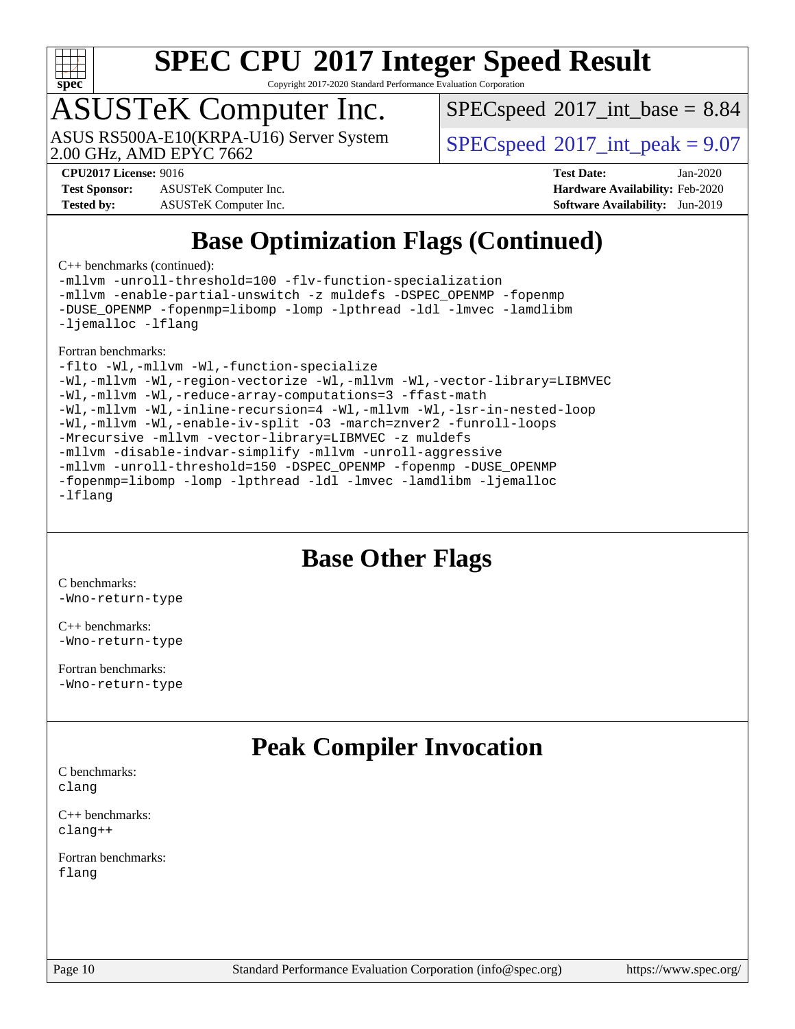

Copyright 2017-2020 Standard Performance Evaluation Corporation

## ASUSTeK Computer Inc.

2.00 GHz, AMD EPYC 7662 ASUS RS500A-E10(KRPA-U16) Server System  $\left| \text{SPEC speed} \right|^{200}$  int\_peak = 9.07

 $SPECspeed^{\circ}2017\_int\_base = 8.84$  $SPECspeed^{\circ}2017\_int\_base = 8.84$ 

**[Test Sponsor:](http://www.spec.org/auto/cpu2017/Docs/result-fields.html#TestSponsor)** ASUSTeK Computer Inc. **[Hardware Availability:](http://www.spec.org/auto/cpu2017/Docs/result-fields.html#HardwareAvailability)** Feb-2020 **[Tested by:](http://www.spec.org/auto/cpu2017/Docs/result-fields.html#Testedby)** ASUSTeK Computer Inc. **[Software Availability:](http://www.spec.org/auto/cpu2017/Docs/result-fields.html#SoftwareAvailability)** Jun-2019

**[CPU2017 License:](http://www.spec.org/auto/cpu2017/Docs/result-fields.html#CPU2017License)** 9016 **[Test Date:](http://www.spec.org/auto/cpu2017/Docs/result-fields.html#TestDate)** Jan-2020

### **[Base Optimization Flags \(Continued\)](http://www.spec.org/auto/cpu2017/Docs/result-fields.html#BaseOptimizationFlags)**

[C++ benchmarks](http://www.spec.org/auto/cpu2017/Docs/result-fields.html#CXXbenchmarks) (continued):

[-mllvm -unroll-threshold=100](http://www.spec.org/cpu2017/results/res2020q2/cpu2017-20200329-21524.flags.html#user_CXXbase_F-unroll-threshold_2755d0c78138845d361fa1543e3a063fffa198df9b3edf0cfb856bbc88a81e1769b12ac7a550c5d35197be55360db1a3f95a8d1304df999456cabf5120c45168) [-flv-function-specialization](http://www.spec.org/cpu2017/results/res2020q2/cpu2017-20200329-21524.flags.html#user_CXXbase_F-flv-function-specialization) [-mllvm -enable-partial-unswitch](http://www.spec.org/cpu2017/results/res2020q2/cpu2017-20200329-21524.flags.html#user_CXXbase_F-enable-partial-unswitch_6e1c33f981d77963b1eaf834973128a7f33ce3f8e27f54689656697a35e89dcc875281e0e6283d043e32f367dcb605ba0e307a92e830f7e326789fa6c61b35d3) [-z muldefs](http://www.spec.org/cpu2017/results/res2020q2/cpu2017-20200329-21524.flags.html#user_CXXbase_aocc-muldefs) [-DSPEC\\_OPENMP](http://www.spec.org/cpu2017/results/res2020q2/cpu2017-20200329-21524.flags.html#suite_CXXbase_DSPEC_OPENMP) [-fopenmp](http://www.spec.org/cpu2017/results/res2020q2/cpu2017-20200329-21524.flags.html#user_CXXbase_aocc-fopenmp) [-DUSE\\_OPENMP](http://www.spec.org/cpu2017/results/res2020q2/cpu2017-20200329-21524.flags.html#user_CXXbase_F-DUSE_OPENMP) [-fopenmp=libomp](http://www.spec.org/cpu2017/results/res2020q2/cpu2017-20200329-21524.flags.html#user_CXXbase_aocc-fopenmp_3eb6ab80166bcc84161ff8c20c8d5bc344f88119f45620444596454f7d72e99b7a0ceefc2d1b4d190bd07306bbfdfc20f11f5a2dc69c9b03c72239f8406741c3) [-lomp](http://www.spec.org/cpu2017/results/res2020q2/cpu2017-20200329-21524.flags.html#user_CXXbase_F-lomp) [-lpthread](http://www.spec.org/cpu2017/results/res2020q2/cpu2017-20200329-21524.flags.html#user_CXXbase_F-lpthread) [-ldl](http://www.spec.org/cpu2017/results/res2020q2/cpu2017-20200329-21524.flags.html#user_CXXbase_F-ldl) [-lmvec](http://www.spec.org/cpu2017/results/res2020q2/cpu2017-20200329-21524.flags.html#user_CXXbase_F-lmvec) [-lamdlibm](http://www.spec.org/cpu2017/results/res2020q2/cpu2017-20200329-21524.flags.html#user_CXXbase_F-lamdlibm) [-ljemalloc](http://www.spec.org/cpu2017/results/res2020q2/cpu2017-20200329-21524.flags.html#user_CXXbase_jemalloc-lib) [-lflang](http://www.spec.org/cpu2017/results/res2020q2/cpu2017-20200329-21524.flags.html#user_CXXbase_F-lflang)

[Fortran benchmarks](http://www.spec.org/auto/cpu2017/Docs/result-fields.html#Fortranbenchmarks):

[-flto](http://www.spec.org/cpu2017/results/res2020q2/cpu2017-20200329-21524.flags.html#user_FCbase_aocc-flto) [-Wl,-mllvm -Wl,-function-specialize](http://www.spec.org/cpu2017/results/res2020q2/cpu2017-20200329-21524.flags.html#user_FCbase_F-function-specialize_7e7e661e57922243ee67c9a1251cb8910e607325179a0ce7f2884e09a6f5d4a5ef0ae4f37e8a2a11c95fc48e931f06dc2b6016f14b511fcb441e048bef1b065a) [-Wl,-mllvm -Wl,-region-vectorize](http://www.spec.org/cpu2017/results/res2020q2/cpu2017-20200329-21524.flags.html#user_FCbase_F-region-vectorize_fb6c6b5aa293c88efc6c7c2b52b20755e943585b1fe8658c35afef78727fff56e1a56891413c30e36b8e2a6f9a71126986319243e80eb6110b78b288f533c52b) [-Wl,-mllvm -Wl,-vector-library=LIBMVEC](http://www.spec.org/cpu2017/results/res2020q2/cpu2017-20200329-21524.flags.html#user_FCbase_F-use-vector-library_0a14b27fae317f283640384a31f7bfcc2bd4c1d0b5cfc618a3a430800c9b20217b00f61303eff223a3251b4f06ffbc9739dc5296db9d1fbb9ad24a3939d86d66) [-Wl,-mllvm -Wl,-reduce-array-computations=3](http://www.spec.org/cpu2017/results/res2020q2/cpu2017-20200329-21524.flags.html#user_FCbase_F-reduce-array-computations_b882aefe7a5dda4e33149f6299762b9a720dace3e498e13756f4c04e5a19edf5315c1f3993de2e61ec41e8c206231f84e05da7040e1bb5d69ba27d10a12507e4) [-ffast-math](http://www.spec.org/cpu2017/results/res2020q2/cpu2017-20200329-21524.flags.html#user_FCbase_aocc-ffast-math) [-Wl,-mllvm -Wl,-inline-recursion=4](http://www.spec.org/cpu2017/results/res2020q2/cpu2017-20200329-21524.flags.html#user_FCbase_F-inline-recursion) [-Wl,-mllvm -Wl,-lsr-in-nested-loop](http://www.spec.org/cpu2017/results/res2020q2/cpu2017-20200329-21524.flags.html#user_FCbase_F-lsr-in-nested-loop_de4bc7331d07d857538198a5cc9592bc905d78a18065d49b9acfd1f777ae9eca5716aaa3e0e674a48e2e5ec9dad184ee0c682635ad7eff4181b32ab748bf2f49) [-Wl,-mllvm -Wl,-enable-iv-split](http://www.spec.org/cpu2017/results/res2020q2/cpu2017-20200329-21524.flags.html#user_FCbase_F-enable-iv-split_efc18925ba63acc4bb74cb6e43d0987b7b3cf01924ad910e2a6edbbbd0f8b582e31f1ee7ccede3f08176ef2ad41c69507170fb32301bf478d45ceb38dfb89c5e) [-O3](http://www.spec.org/cpu2017/results/res2020q2/cpu2017-20200329-21524.flags.html#user_FCbase_F-O3) [-march=znver2](http://www.spec.org/cpu2017/results/res2020q2/cpu2017-20200329-21524.flags.html#user_FCbase_aocc-march_3e2e19cff2eeef60c5d90b059483627c9ea47eca6d66670dbd53f9185f6439e27eb5e104cf773e9e8ab18c8842ce63e461a3e948d0214bd567ef3ade411bf467) [-funroll-loops](http://www.spec.org/cpu2017/results/res2020q2/cpu2017-20200329-21524.flags.html#user_FCbase_aocc-unroll-loops) [-Mrecursive](http://www.spec.org/cpu2017/results/res2020q2/cpu2017-20200329-21524.flags.html#user_FCbase_F-mrecursive_20a145d63f12d5750a899e17d4450b5b8b40330a9bb4af13688ca650e6fb30857bbbe44fb35cdbb895df6e5b2769de0a0d7659f51ff17acfbef6febafec4023f) [-mllvm -vector-library=LIBMVEC](http://www.spec.org/cpu2017/results/res2020q2/cpu2017-20200329-21524.flags.html#user_FCbase_F-use-vector-library_e584e20b4f7ec96aa109254b65d8e01d864f3d68580371b9d93ed7c338191d4cfce20c3c864632264effc6bbe4c7c38153d02096a342ee92501c4a53204a7871) [-z muldefs](http://www.spec.org/cpu2017/results/res2020q2/cpu2017-20200329-21524.flags.html#user_FCbase_aocc-muldefs) [-mllvm -disable-indvar-simplify](http://www.spec.org/cpu2017/results/res2020q2/cpu2017-20200329-21524.flags.html#user_FCbase_F-disable-indvar-simplify_c8d861bf19eba5001219ab52ef051176e06bf3166017d5c1ce87aec66e795c6723d10bf23d5a91730d61ad4b3f566b39dd0a4d6e5b2af269ebae30428a1f3630) [-mllvm -unroll-aggressive](http://www.spec.org/cpu2017/results/res2020q2/cpu2017-20200329-21524.flags.html#user_FCbase_F-unroll-aggressive_a366db20af3fd871754361e6b05945ac700b8c3fc538cc6688c755ae5874c6da3d6f3bb6e8d93320d5094064830fdb2c06064831f0f08d916cd8f333e5dba6d9) [-mllvm -unroll-threshold=150](http://www.spec.org/cpu2017/results/res2020q2/cpu2017-20200329-21524.flags.html#user_FCbase_F-unroll-threshold_3352736ce55666ed13437f5f5fd6693920e68d4dfd26bba42492bb1c46b6d7692ff5ba7bd4d2ebdab48d140ca981a39154ff0664b4d322a66fc3d1aafa4d7ffe) [-DSPEC\\_OPENMP](http://www.spec.org/cpu2017/results/res2020q2/cpu2017-20200329-21524.flags.html#suite_FCbase_DSPEC_OPENMP) [-fopenmp](http://www.spec.org/cpu2017/results/res2020q2/cpu2017-20200329-21524.flags.html#user_FCbase_aocc-fopenmp) [-DUSE\\_OPENMP](http://www.spec.org/cpu2017/results/res2020q2/cpu2017-20200329-21524.flags.html#user_FCbase_F-DUSE_OPENMP) [-fopenmp=libomp](http://www.spec.org/cpu2017/results/res2020q2/cpu2017-20200329-21524.flags.html#user_FCbase_aocc-fopenmp_3eb6ab80166bcc84161ff8c20c8d5bc344f88119f45620444596454f7d72e99b7a0ceefc2d1b4d190bd07306bbfdfc20f11f5a2dc69c9b03c72239f8406741c3) [-lomp](http://www.spec.org/cpu2017/results/res2020q2/cpu2017-20200329-21524.flags.html#user_FCbase_F-lomp) [-lpthread](http://www.spec.org/cpu2017/results/res2020q2/cpu2017-20200329-21524.flags.html#user_FCbase_F-lpthread) [-ldl](http://www.spec.org/cpu2017/results/res2020q2/cpu2017-20200329-21524.flags.html#user_FCbase_F-ldl) [-lmvec](http://www.spec.org/cpu2017/results/res2020q2/cpu2017-20200329-21524.flags.html#user_FCbase_F-lmvec) [-lamdlibm](http://www.spec.org/cpu2017/results/res2020q2/cpu2017-20200329-21524.flags.html#user_FCbase_F-lamdlibm) [-ljemalloc](http://www.spec.org/cpu2017/results/res2020q2/cpu2017-20200329-21524.flags.html#user_FCbase_jemalloc-lib) [-lflang](http://www.spec.org/cpu2017/results/res2020q2/cpu2017-20200329-21524.flags.html#user_FCbase_F-lflang)

#### **[Base Other Flags](http://www.spec.org/auto/cpu2017/Docs/result-fields.html#BaseOtherFlags)**

[C benchmarks](http://www.spec.org/auto/cpu2017/Docs/result-fields.html#Cbenchmarks): [-Wno-return-type](http://www.spec.org/cpu2017/results/res2020q2/cpu2017-20200329-21524.flags.html#user_CCbase_F-Waocc-no-return-type)

[C++ benchmarks:](http://www.spec.org/auto/cpu2017/Docs/result-fields.html#CXXbenchmarks) [-Wno-return-type](http://www.spec.org/cpu2017/results/res2020q2/cpu2017-20200329-21524.flags.html#user_CXXbase_F-Waocc-no-return-type)

[Fortran benchmarks](http://www.spec.org/auto/cpu2017/Docs/result-fields.html#Fortranbenchmarks): [-Wno-return-type](http://www.spec.org/cpu2017/results/res2020q2/cpu2017-20200329-21524.flags.html#user_FCbase_F-Waocc-no-return-type)

#### **[Peak Compiler Invocation](http://www.spec.org/auto/cpu2017/Docs/result-fields.html#PeakCompilerInvocation)**

[C benchmarks](http://www.spec.org/auto/cpu2017/Docs/result-fields.html#Cbenchmarks): [clang](http://www.spec.org/cpu2017/results/res2020q2/cpu2017-20200329-21524.flags.html#user_CCpeak_clang-c)

[C++ benchmarks:](http://www.spec.org/auto/cpu2017/Docs/result-fields.html#CXXbenchmarks) [clang++](http://www.spec.org/cpu2017/results/res2020q2/cpu2017-20200329-21524.flags.html#user_CXXpeak_clang-cpp)

[Fortran benchmarks](http://www.spec.org/auto/cpu2017/Docs/result-fields.html#Fortranbenchmarks): [flang](http://www.spec.org/cpu2017/results/res2020q2/cpu2017-20200329-21524.flags.html#user_FCpeak_flang)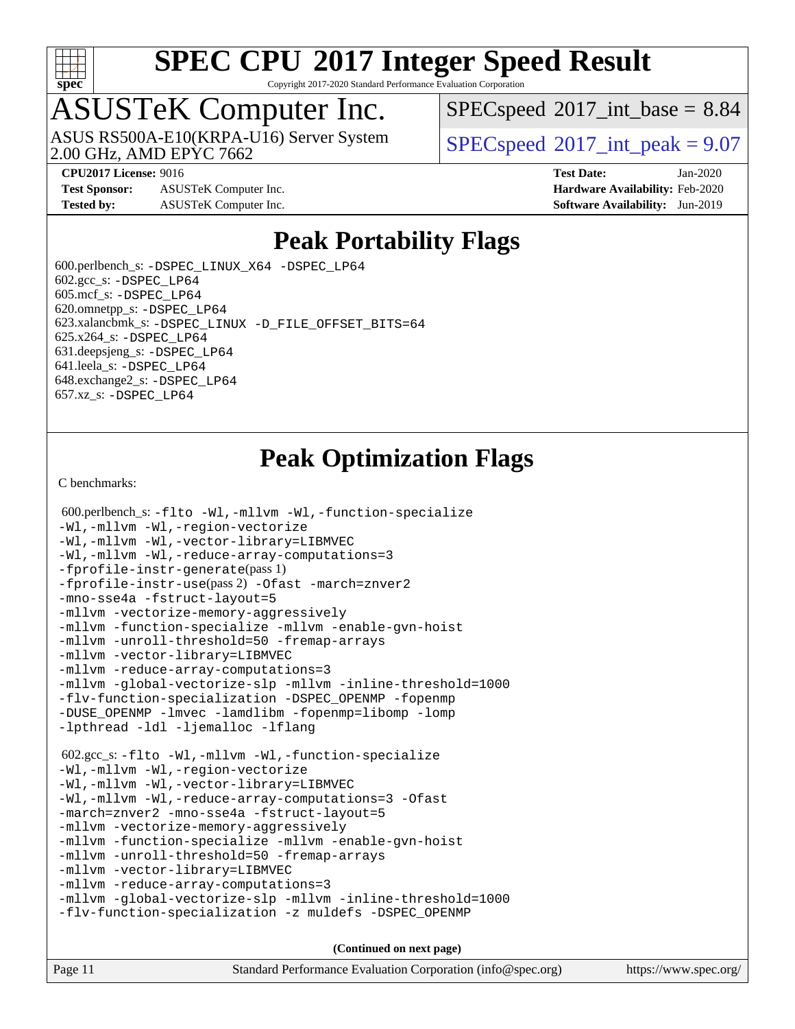

Copyright 2017-2020 Standard Performance Evaluation Corporation

## ASUSTeK Computer Inc.

2.00 GHz, AMD EPYC 7662 ASUS RS500A-E10(KRPA-U16) Server System  $\sqrt{\text{SPEC speed}^{\otimes}2017\text{ int peak}} = 9.07$ 

 $SPECspeed^{\circ}2017\_int\_base = 8.84$  $SPECspeed^{\circ}2017\_int\_base = 8.84$ 

**[Test Sponsor:](http://www.spec.org/auto/cpu2017/Docs/result-fields.html#TestSponsor)** ASUSTeK Computer Inc. **[Hardware Availability:](http://www.spec.org/auto/cpu2017/Docs/result-fields.html#HardwareAvailability)** Feb-2020 **[Tested by:](http://www.spec.org/auto/cpu2017/Docs/result-fields.html#Testedby)** ASUSTeK Computer Inc. **[Software Availability:](http://www.spec.org/auto/cpu2017/Docs/result-fields.html#SoftwareAvailability)** Jun-2019

**[CPU2017 License:](http://www.spec.org/auto/cpu2017/Docs/result-fields.html#CPU2017License)** 9016 **[Test Date:](http://www.spec.org/auto/cpu2017/Docs/result-fields.html#TestDate)** Jan-2020

#### **[Peak Portability Flags](http://www.spec.org/auto/cpu2017/Docs/result-fields.html#PeakPortabilityFlags)**

 600.perlbench\_s: [-DSPEC\\_LINUX\\_X64](http://www.spec.org/cpu2017/results/res2020q2/cpu2017-20200329-21524.flags.html#b600.perlbench_s_peakPORTABILITY_DSPEC_LINUX_X64) [-DSPEC\\_LP64](http://www.spec.org/cpu2017/results/res2020q2/cpu2017-20200329-21524.flags.html#b600.perlbench_s_peakEXTRA_PORTABILITY_DSPEC_LP64)  $602.\text{gcc}\$ s:  $-DSPEC$  LP64 605.mcf\_s: [-DSPEC\\_LP64](http://www.spec.org/cpu2017/results/res2020q2/cpu2017-20200329-21524.flags.html#suite_peakEXTRA_PORTABILITY605_mcf_s_DSPEC_LP64) 620.omnetpp\_s: [-DSPEC\\_LP64](http://www.spec.org/cpu2017/results/res2020q2/cpu2017-20200329-21524.flags.html#suite_peakEXTRA_PORTABILITY620_omnetpp_s_DSPEC_LP64) 623.xalancbmk\_s: [-DSPEC\\_LINUX](http://www.spec.org/cpu2017/results/res2020q2/cpu2017-20200329-21524.flags.html#b623.xalancbmk_s_peakPORTABILITY_DSPEC_LINUX) [-D\\_FILE\\_OFFSET\\_BITS=64](http://www.spec.org/cpu2017/results/res2020q2/cpu2017-20200329-21524.flags.html#user_peakEXTRA_PORTABILITY623_xalancbmk_s_F-D_FILE_OFFSET_BITS_5ae949a99b284ddf4e95728d47cb0843d81b2eb0e18bdfe74bbf0f61d0b064f4bda2f10ea5eb90e1dcab0e84dbc592acfc5018bc955c18609f94ddb8d550002c) 625.x264\_s: [-DSPEC\\_LP64](http://www.spec.org/cpu2017/results/res2020q2/cpu2017-20200329-21524.flags.html#suite_peakEXTRA_PORTABILITY625_x264_s_DSPEC_LP64) 631.deepsjeng\_s: [-DSPEC\\_LP64](http://www.spec.org/cpu2017/results/res2020q2/cpu2017-20200329-21524.flags.html#suite_peakEXTRA_PORTABILITY631_deepsjeng_s_DSPEC_LP64) 641.leela\_s: [-DSPEC\\_LP64](http://www.spec.org/cpu2017/results/res2020q2/cpu2017-20200329-21524.flags.html#suite_peakEXTRA_PORTABILITY641_leela_s_DSPEC_LP64) 648.exchange2\_s: [-DSPEC\\_LP64](http://www.spec.org/cpu2017/results/res2020q2/cpu2017-20200329-21524.flags.html#suite_peakEXTRA_PORTABILITY648_exchange2_s_DSPEC_LP64) 657.xz\_s: [-DSPEC\\_LP64](http://www.spec.org/cpu2017/results/res2020q2/cpu2017-20200329-21524.flags.html#suite_peakEXTRA_PORTABILITY657_xz_s_DSPEC_LP64)

### **[Peak Optimization Flags](http://www.spec.org/auto/cpu2017/Docs/result-fields.html#PeakOptimizationFlags)**

[C benchmarks](http://www.spec.org/auto/cpu2017/Docs/result-fields.html#Cbenchmarks):

```
 600.perlbench_s: -flto -Wl,-mllvm -Wl,-function-specialize
-Wl,-mllvm -Wl,-region-vectorize
-Wl,-mllvm -Wl,-vector-library=LIBMVEC
-Wl,-mllvm -Wl,-reduce-array-computations=3
-fprofile-instr-generate(pass 1)
-fprofile-instr-use(pass 2) -Ofast -march=znver2
-mno-sse4a -fstruct-layout=5
-mllvm -vectorize-memory-aggressively
-mllvm -function-specialize -mllvm -enable-gvn-hoist
-mllvm -unroll-threshold=50 -fremap-arrays
-mllvm -vector-library=LIBMVEC
-mllvm -reduce-array-computations=3
-mllvm -global-vectorize-slp -mllvm -inline-threshold=1000
-flv-function-specialization -DSPEC_OPENMP -fopenmp
-DUSE_OPENMP -lmvec -lamdlibm -fopenmp=libomp -lomp
-lpthread -ldl -ljemalloc -lflang
 602.gcc_s: -flto -Wl,-mllvm -Wl,-function-specialize
-Wl,-mllvm -Wl,-region-vectorize
-Wl,-mllvm -Wl,-vector-library=LIBMVEC
-Wl,-mllvm -Wl,-reduce-array-computations=3 -Ofast
-march=znver2 -mno-sse4a -fstruct-layout=5
-mllvm -vectorize-memory-aggressively
-mllvm -function-specialize -mllvm -enable-gvn-hoist
-mllvm -unroll-threshold=50 -fremap-arrays
-mllvm -vector-library=LIBMVEC
-mllvm -reduce-array-computations=3
-mllvm -global-vectorize-slp -mllvm -inline-threshold=1000
-flv-function-specialization -z muldefs -DSPEC_OPENMP
                                    (Continued on next page)
```
Page 11 Standard Performance Evaluation Corporation [\(info@spec.org\)](mailto:info@spec.org) <https://www.spec.org/>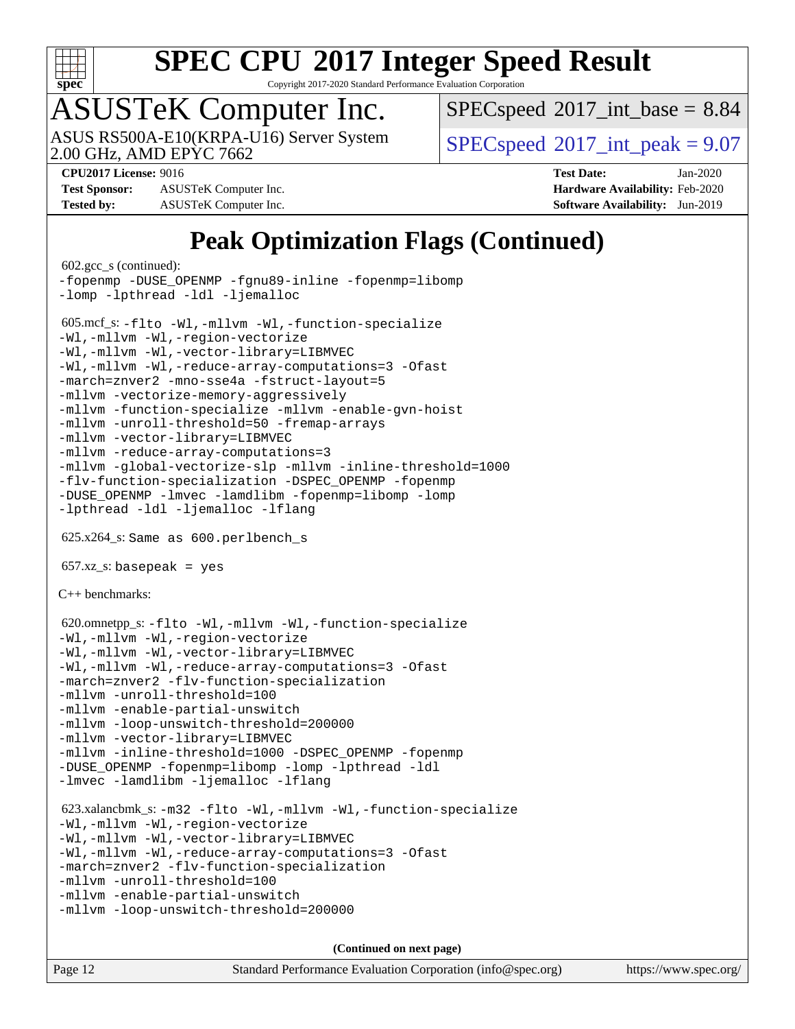

Copyright 2017-2020 Standard Performance Evaluation Corporation

# ASUSTeK Computer Inc.

2.00 GHz, AMD EPYC 7662 ASUS RS500A-E10(KRPA-U16) Server System  $\left| \text{SPEC speed} \right|^{200}$  int\_peak = 9.07

 $SPECspeed^{\circ}2017\_int\_base = 8.84$  $SPECspeed^{\circ}2017\_int\_base = 8.84$ 

**[Test Sponsor:](http://www.spec.org/auto/cpu2017/Docs/result-fields.html#TestSponsor)** ASUSTeK Computer Inc. **[Hardware Availability:](http://www.spec.org/auto/cpu2017/Docs/result-fields.html#HardwareAvailability)** Feb-2020 **[Tested by:](http://www.spec.org/auto/cpu2017/Docs/result-fields.html#Testedby)** ASUSTeK Computer Inc. **[Software Availability:](http://www.spec.org/auto/cpu2017/Docs/result-fields.html#SoftwareAvailability)** Jun-2019

**[CPU2017 License:](http://www.spec.org/auto/cpu2017/Docs/result-fields.html#CPU2017License)** 9016 **[Test Date:](http://www.spec.org/auto/cpu2017/Docs/result-fields.html#TestDate)** Jan-2020

### **[Peak Optimization Flags \(Continued\)](http://www.spec.org/auto/cpu2017/Docs/result-fields.html#PeakOptimizationFlags)**

```
 602.gcc_s (continued):
-fopenmp -DUSE_OPENMP -fgnu89-inline -fopenmp=libomp
-lomp -lpthread -ldl -ljemalloc
 605.mcf_s: -flto -Wl,-mllvm -Wl,-function-specialize
-Wl,-mllvm -Wl,-region-vectorize
-Wl,-mllvm -Wl,-vector-library=LIBMVEC
-Wl,-mllvm -Wl,-reduce-array-computations=3 -Ofast
-march=znver2 -mno-sse4a -fstruct-layout=5
-mllvm -vectorize-memory-aggressively
-mllvm -function-specialize -mllvm -enable-gvn-hoist
-mllvm -unroll-threshold=50 -fremap-arrays
-mllvm -vector-library=LIBMVEC
-mllvm -reduce-array-computations=3
-mllvm -global-vectorize-slp -mllvm -inline-threshold=1000
-flv-function-specialization -DSPEC_OPENMP -fopenmp
-DUSE_OPENMP -lmvec -lamdlibm -fopenmp=libomp -lomp
-lpthread -ldl -ljemalloc -lflang
 625.x264_s: Same as 600.perlbench_s
657.xz_s: basepeak = yes
C++ benchmarks: 
 620.omnetpp_s: -flto -Wl,-mllvm -Wl,-function-specialize
-Wl,-mllvm -Wl,-region-vectorize
-Wl,-mllvm -Wl,-vector-library=LIBMVEC
-Wl,-mllvm -Wl,-reduce-array-computations=3 -Ofast
-march=znver2 -flv-function-specialization
-mllvm -unroll-threshold=100
-mllvm -enable-partial-unswitch
-mllvm -loop-unswitch-threshold=200000
-mllvm -vector-library=LIBMVEC
-mllvm -inline-threshold=1000 -DSPEC_OPENMP -fopenmp
-DUSE_OPENMP -fopenmp=libomp -lomp -lpthread -ldl
-lmvec -lamdlibm -ljemalloc -lflang
 623.xalancbmk_s: -m32 -flto -Wl,-mllvm -Wl,-function-specialize
-Wl,-mllvm -Wl,-region-vectorize
-Wl,-mllvm -Wl,-vector-library=LIBMVEC
-Wl,-mllvm -Wl,-reduce-array-computations=3 -Ofast
-march=znver2 -flv-function-specialization
-mllvm -unroll-threshold=100
-mllvm -enable-partial-unswitch
-mllvm -loop-unswitch-threshold=200000
```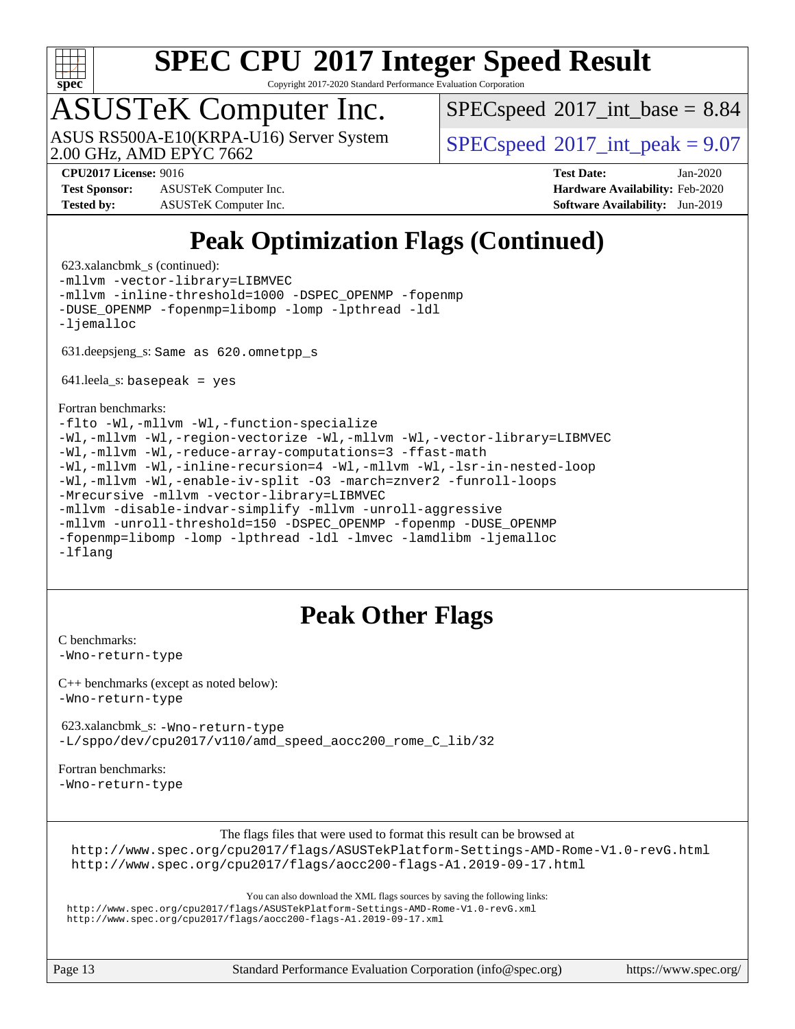

Copyright 2017-2020 Standard Performance Evaluation Corporation

## ASUSTeK Computer Inc.

2.00 GHz, AMD EPYC 7662 ASUS RS500A-E10(KRPA-U16) Server System  $\sqrt{\text{SPEC speed}^{\otimes}2017\text{ int peak}} = 9.07$ 

 $SPECspeed^{\circ}2017\_int\_base = 8.84$  $SPECspeed^{\circ}2017\_int\_base = 8.84$ 

**[Test Sponsor:](http://www.spec.org/auto/cpu2017/Docs/result-fields.html#TestSponsor)** ASUSTeK Computer Inc. **[Hardware Availability:](http://www.spec.org/auto/cpu2017/Docs/result-fields.html#HardwareAvailability)** Feb-2020 **[Tested by:](http://www.spec.org/auto/cpu2017/Docs/result-fields.html#Testedby)** ASUSTeK Computer Inc. **[Software Availability:](http://www.spec.org/auto/cpu2017/Docs/result-fields.html#SoftwareAvailability)** Jun-2019

**[CPU2017 License:](http://www.spec.org/auto/cpu2017/Docs/result-fields.html#CPU2017License)** 9016 **[Test Date:](http://www.spec.org/auto/cpu2017/Docs/result-fields.html#TestDate)** Jan-2020

## **[Peak Optimization Flags \(Continued\)](http://www.spec.org/auto/cpu2017/Docs/result-fields.html#PeakOptimizationFlags)**

 623.xalancbmk\_s (continued): [-mllvm -vector-library=LIBMVEC](http://www.spec.org/cpu2017/results/res2020q2/cpu2017-20200329-21524.flags.html#user_peakCXXOPTIMIZE623_xalancbmk_s_F-use-vector-library_e584e20b4f7ec96aa109254b65d8e01d864f3d68580371b9d93ed7c338191d4cfce20c3c864632264effc6bbe4c7c38153d02096a342ee92501c4a53204a7871) [-mllvm -inline-threshold=1000](http://www.spec.org/cpu2017/results/res2020q2/cpu2017-20200329-21524.flags.html#user_peakCXXOPTIMIZE623_xalancbmk_s_dragonegg-llvm-inline-threshold_b7832241b0a6397e4ecdbaf0eb7defdc10f885c2a282fa3240fdc99844d543fda39cf8a4a9dccf68cf19b5438ac3b455264f478df15da0f4988afa40d8243bab) [-DSPEC\\_OPENMP](http://www.spec.org/cpu2017/results/res2020q2/cpu2017-20200329-21524.flags.html#suite_peakEXTRA_OPTIMIZE623_xalancbmk_s_DSPEC_OPENMP) [-fopenmp](http://www.spec.org/cpu2017/results/res2020q2/cpu2017-20200329-21524.flags.html#user_peakEXTRA_OPTIMIZE623_xalancbmk_s_aocc-fopenmp) [-DUSE\\_OPENMP](http://www.spec.org/cpu2017/results/res2020q2/cpu2017-20200329-21524.flags.html#user_peakEXTRA_OPTIMIZE623_xalancbmk_s_F-DUSE_OPENMP) [-fopenmp=libomp](http://www.spec.org/cpu2017/results/res2020q2/cpu2017-20200329-21524.flags.html#user_peakEXTRA_LIBS623_xalancbmk_s_aocc-fopenmp_3eb6ab80166bcc84161ff8c20c8d5bc344f88119f45620444596454f7d72e99b7a0ceefc2d1b4d190bd07306bbfdfc20f11f5a2dc69c9b03c72239f8406741c3) [-lomp](http://www.spec.org/cpu2017/results/res2020q2/cpu2017-20200329-21524.flags.html#user_peakEXTRA_LIBS623_xalancbmk_s_F-lomp) [-lpthread](http://www.spec.org/cpu2017/results/res2020q2/cpu2017-20200329-21524.flags.html#user_peakEXTRA_LIBS623_xalancbmk_s_F-lpthread) [-ldl](http://www.spec.org/cpu2017/results/res2020q2/cpu2017-20200329-21524.flags.html#user_peakEXTRA_LIBS623_xalancbmk_s_F-ldl) [-ljemalloc](http://www.spec.org/cpu2017/results/res2020q2/cpu2017-20200329-21524.flags.html#user_peakEXTRA_LIBS623_xalancbmk_s_jemalloc-lib) 631.deepsjeng\_s: Same as 620.omnetpp\_s  $641.$ leela\_s: basepeak = yes [Fortran benchmarks](http://www.spec.org/auto/cpu2017/Docs/result-fields.html#Fortranbenchmarks): [-flto](http://www.spec.org/cpu2017/results/res2020q2/cpu2017-20200329-21524.flags.html#user_FCpeak_aocc-flto) [-Wl,-mllvm -Wl,-function-specialize](http://www.spec.org/cpu2017/results/res2020q2/cpu2017-20200329-21524.flags.html#user_FCpeak_F-function-specialize_7e7e661e57922243ee67c9a1251cb8910e607325179a0ce7f2884e09a6f5d4a5ef0ae4f37e8a2a11c95fc48e931f06dc2b6016f14b511fcb441e048bef1b065a) [-Wl,-mllvm -Wl,-region-vectorize](http://www.spec.org/cpu2017/results/res2020q2/cpu2017-20200329-21524.flags.html#user_FCpeak_F-region-vectorize_fb6c6b5aa293c88efc6c7c2b52b20755e943585b1fe8658c35afef78727fff56e1a56891413c30e36b8e2a6f9a71126986319243e80eb6110b78b288f533c52b) [-Wl,-mllvm -Wl,-vector-library=LIBMVEC](http://www.spec.org/cpu2017/results/res2020q2/cpu2017-20200329-21524.flags.html#user_FCpeak_F-use-vector-library_0a14b27fae317f283640384a31f7bfcc2bd4c1d0b5cfc618a3a430800c9b20217b00f61303eff223a3251b4f06ffbc9739dc5296db9d1fbb9ad24a3939d86d66) [-Wl,-mllvm -Wl,-reduce-array-computations=3](http://www.spec.org/cpu2017/results/res2020q2/cpu2017-20200329-21524.flags.html#user_FCpeak_F-reduce-array-computations_b882aefe7a5dda4e33149f6299762b9a720dace3e498e13756f4c04e5a19edf5315c1f3993de2e61ec41e8c206231f84e05da7040e1bb5d69ba27d10a12507e4) [-ffast-math](http://www.spec.org/cpu2017/results/res2020q2/cpu2017-20200329-21524.flags.html#user_FCpeak_aocc-ffast-math) [-Wl,-mllvm -Wl,-inline-recursion=4](http://www.spec.org/cpu2017/results/res2020q2/cpu2017-20200329-21524.flags.html#user_FCpeak_F-inline-recursion) [-Wl,-mllvm -Wl,-lsr-in-nested-loop](http://www.spec.org/cpu2017/results/res2020q2/cpu2017-20200329-21524.flags.html#user_FCpeak_F-lsr-in-nested-loop_de4bc7331d07d857538198a5cc9592bc905d78a18065d49b9acfd1f777ae9eca5716aaa3e0e674a48e2e5ec9dad184ee0c682635ad7eff4181b32ab748bf2f49) [-Wl,-mllvm -Wl,-enable-iv-split](http://www.spec.org/cpu2017/results/res2020q2/cpu2017-20200329-21524.flags.html#user_FCpeak_F-enable-iv-split_efc18925ba63acc4bb74cb6e43d0987b7b3cf01924ad910e2a6edbbbd0f8b582e31f1ee7ccede3f08176ef2ad41c69507170fb32301bf478d45ceb38dfb89c5e) [-O3](http://www.spec.org/cpu2017/results/res2020q2/cpu2017-20200329-21524.flags.html#user_FCpeak_F-O3) [-march=znver2](http://www.spec.org/cpu2017/results/res2020q2/cpu2017-20200329-21524.flags.html#user_FCpeak_aocc-march_3e2e19cff2eeef60c5d90b059483627c9ea47eca6d66670dbd53f9185f6439e27eb5e104cf773e9e8ab18c8842ce63e461a3e948d0214bd567ef3ade411bf467) [-funroll-loops](http://www.spec.org/cpu2017/results/res2020q2/cpu2017-20200329-21524.flags.html#user_FCpeak_aocc-unroll-loops) [-Mrecursive](http://www.spec.org/cpu2017/results/res2020q2/cpu2017-20200329-21524.flags.html#user_FCpeak_F-mrecursive_20a145d63f12d5750a899e17d4450b5b8b40330a9bb4af13688ca650e6fb30857bbbe44fb35cdbb895df6e5b2769de0a0d7659f51ff17acfbef6febafec4023f) [-mllvm -vector-library=LIBMVEC](http://www.spec.org/cpu2017/results/res2020q2/cpu2017-20200329-21524.flags.html#user_FCpeak_F-use-vector-library_e584e20b4f7ec96aa109254b65d8e01d864f3d68580371b9d93ed7c338191d4cfce20c3c864632264effc6bbe4c7c38153d02096a342ee92501c4a53204a7871) [-mllvm -disable-indvar-simplify](http://www.spec.org/cpu2017/results/res2020q2/cpu2017-20200329-21524.flags.html#user_FCpeak_F-disable-indvar-simplify_c8d861bf19eba5001219ab52ef051176e06bf3166017d5c1ce87aec66e795c6723d10bf23d5a91730d61ad4b3f566b39dd0a4d6e5b2af269ebae30428a1f3630) [-mllvm -unroll-aggressive](http://www.spec.org/cpu2017/results/res2020q2/cpu2017-20200329-21524.flags.html#user_FCpeak_F-unroll-aggressive_a366db20af3fd871754361e6b05945ac700b8c3fc538cc6688c755ae5874c6da3d6f3bb6e8d93320d5094064830fdb2c06064831f0f08d916cd8f333e5dba6d9) [-mllvm -unroll-threshold=150](http://www.spec.org/cpu2017/results/res2020q2/cpu2017-20200329-21524.flags.html#user_FCpeak_F-unroll-threshold_3352736ce55666ed13437f5f5fd6693920e68d4dfd26bba42492bb1c46b6d7692ff5ba7bd4d2ebdab48d140ca981a39154ff0664b4d322a66fc3d1aafa4d7ffe) [-DSPEC\\_OPENMP](http://www.spec.org/cpu2017/results/res2020q2/cpu2017-20200329-21524.flags.html#suite_FCpeak_DSPEC_OPENMP) [-fopenmp](http://www.spec.org/cpu2017/results/res2020q2/cpu2017-20200329-21524.flags.html#user_FCpeak_aocc-fopenmp) [-DUSE\\_OPENMP](http://www.spec.org/cpu2017/results/res2020q2/cpu2017-20200329-21524.flags.html#user_FCpeak_F-DUSE_OPENMP) [-fopenmp=libomp](http://www.spec.org/cpu2017/results/res2020q2/cpu2017-20200329-21524.flags.html#user_FCpeak_aocc-fopenmp_3eb6ab80166bcc84161ff8c20c8d5bc344f88119f45620444596454f7d72e99b7a0ceefc2d1b4d190bd07306bbfdfc20f11f5a2dc69c9b03c72239f8406741c3) [-lomp](http://www.spec.org/cpu2017/results/res2020q2/cpu2017-20200329-21524.flags.html#user_FCpeak_F-lomp) [-lpthread](http://www.spec.org/cpu2017/results/res2020q2/cpu2017-20200329-21524.flags.html#user_FCpeak_F-lpthread) [-ldl](http://www.spec.org/cpu2017/results/res2020q2/cpu2017-20200329-21524.flags.html#user_FCpeak_F-ldl) [-lmvec](http://www.spec.org/cpu2017/results/res2020q2/cpu2017-20200329-21524.flags.html#user_FCpeak_F-lmvec) [-lamdlibm](http://www.spec.org/cpu2017/results/res2020q2/cpu2017-20200329-21524.flags.html#user_FCpeak_F-lamdlibm) [-ljemalloc](http://www.spec.org/cpu2017/results/res2020q2/cpu2017-20200329-21524.flags.html#user_FCpeak_jemalloc-lib) [-lflang](http://www.spec.org/cpu2017/results/res2020q2/cpu2017-20200329-21524.flags.html#user_FCpeak_F-lflang)

#### **[Peak Other Flags](http://www.spec.org/auto/cpu2017/Docs/result-fields.html#PeakOtherFlags)**

[C benchmarks](http://www.spec.org/auto/cpu2017/Docs/result-fields.html#Cbenchmarks): [-Wno-return-type](http://www.spec.org/cpu2017/results/res2020q2/cpu2017-20200329-21524.flags.html#user_CCpeak_F-Waocc-no-return-type)

[C++ benchmarks \(except as noted below\):](http://www.spec.org/auto/cpu2017/Docs/result-fields.html#CXXbenchmarksexceptasnotedbelow) [-Wno-return-type](http://www.spec.org/cpu2017/results/res2020q2/cpu2017-20200329-21524.flags.html#user_CXXpeak_F-Waocc-no-return-type)

 623.xalancbmk\_s: [-Wno-return-type](http://www.spec.org/cpu2017/results/res2020q2/cpu2017-20200329-21524.flags.html#user_peakEXTRA_OPTIMIZE623_xalancbmk_s_F-Waocc-no-return-type) [-L/sppo/dev/cpu2017/v110/amd\\_speed\\_aocc200\\_rome\\_C\\_lib/32](http://www.spec.org/cpu2017/results/res2020q2/cpu2017-20200329-21524.flags.html#user_peakEXTRA_LIBS623_xalancbmk_s_Link_path_63ee90d89b3ac3fd9690bbddc2d02e7d850e915eeb963d28f446ad72eda1c299788b6eb12985a714479b71fcfca1b6bf541ff65c39f6615139e350b1e59e0bed)

[Fortran benchmarks](http://www.spec.org/auto/cpu2017/Docs/result-fields.html#Fortranbenchmarks):

[-Wno-return-type](http://www.spec.org/cpu2017/results/res2020q2/cpu2017-20200329-21524.flags.html#user_FCpeak_F-Waocc-no-return-type)

[The flags files that were used to format this result can be browsed at](tmsearch)

<http://www.spec.org/cpu2017/flags/ASUSTekPlatform-Settings-AMD-Rome-V1.0-revG.html> <http://www.spec.org/cpu2017/flags/aocc200-flags-A1.2019-09-17.html>

[You can also download the XML flags sources by saving the following links:](tmsearch)

<http://www.spec.org/cpu2017/flags/ASUSTekPlatform-Settings-AMD-Rome-V1.0-revG.xml> <http://www.spec.org/cpu2017/flags/aocc200-flags-A1.2019-09-17.xml>

Page 13 Standard Performance Evaluation Corporation [\(info@spec.org\)](mailto:info@spec.org) <https://www.spec.org/>